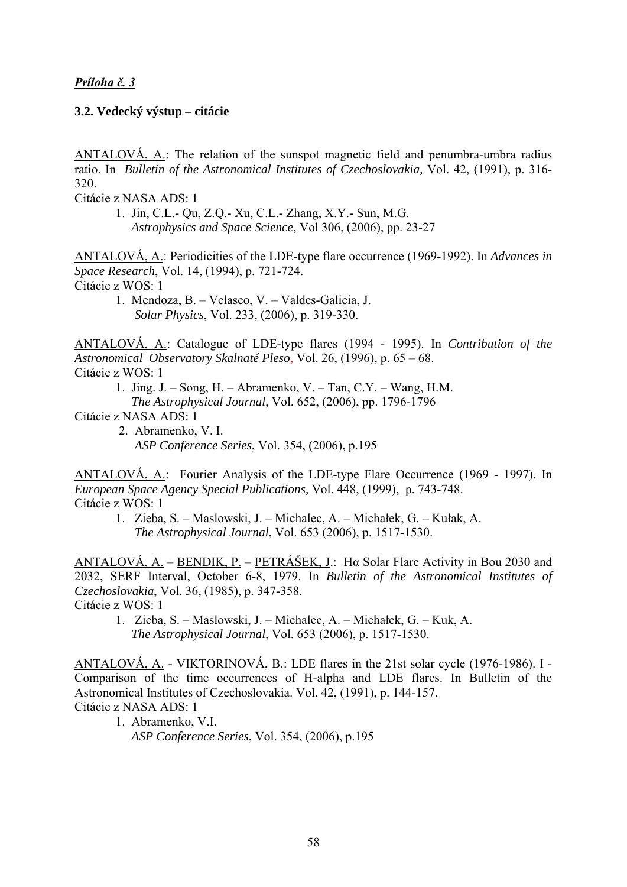## *Príloha č. 3*

## **3.2. Vedecký výstup – citácie**

ANTALOVÁ, A.: The relation of the sunspot magnetic field and penumbra-umbra radius ratio. In *Bulletin of the Astronomical Institutes of Czechoslovakia,* Vol. 42, (1991), p. 316- 320.

Citácie z NASA ADS: 1

 1. Jin, C.L.- Qu, Z.Q.- Xu, C.L.- Zhang, X.Y.- Sun, M.G. *Astrophysics and Space Science*, Vol 306, (2006), pp. 23-27

ANTALOVÁ, A.: Periodicities of the LDE-type flare occurrence (1969-1992). In *Advances in Space Research*, Vol. 14, (1994), p. 721-724. Citácie z WOS: 1

 1. Mendoza, B. – Velasco, V. – Valdes-Galicia, J.  *Solar Physics*, Vol. 233, (2006), p. 319-330.

ANTALOVÁ, A.: Catalogue of LDE-type flares (1994 - 1995). In *Contribution of the Astronomical Observatory Skalnaté Pleso*, Vol. 26, (1996), p. 65 – 68. Citácie z WOS: 1

- 1. Jing. J. Song, H. Abramenko, V. Tan, C.Y. Wang, H.M.
- *The Astrophysical Journal*, Vol. 652, (2006), pp. 1796-1796

Citácie z NASA ADS: 1

 2. Abramenko, V. I. *ASP Conference Series*, Vol. 354, (2006), p.195

ANTALOVÁ, A.: Fourier Analysis of the LDE-type Flare Occurrence (1969 - 1997). In *European Space Agency Special Publications,* Vol. 448, (1999), p. 743-748. Citácie z WOS: 1

 1. Zieba, S. – Maslowski, J. – Michalec, A. – Michałek, G. – Kułak, A.  *The Astrophysical Journal*, Vol. 653 (2006), p. 1517-1530.

ANTALOVÁ, A. – BENDIK, P. – PETRÁŠEK, J.: H $\alpha$  Solar Flare Activity in Bou 2030 and 2032, SERF Interval, October 6-8, 1979. In *Bulletin of the Astronomical Institutes of Czechoslovakia*, Vol. 36, (1985), p. 347-358.

Citácie z WOS: 1

 1. Zieba, S. – Maslowski, J. – Michalec, A. – Michałek, G. – Kuk, A.  *The Astrophysical Journal*, Vol. 653 (2006), p. 1517-1530.

ANTALOVÁ, A. - VIKTORINOVÁ, B.: LDE flares in the 21st solar cycle (1976-1986). I - Comparison of the time occurrences of H-alpha and LDE flares. In Bulletin of the Astronomical Institutes of Czechoslovakia. Vol. 42, (1991), p. 144-157. Citácie z NASA ADS: 1

 1. Abramenko, V.I. *ASP Conference Series*, Vol. 354, (2006), p.195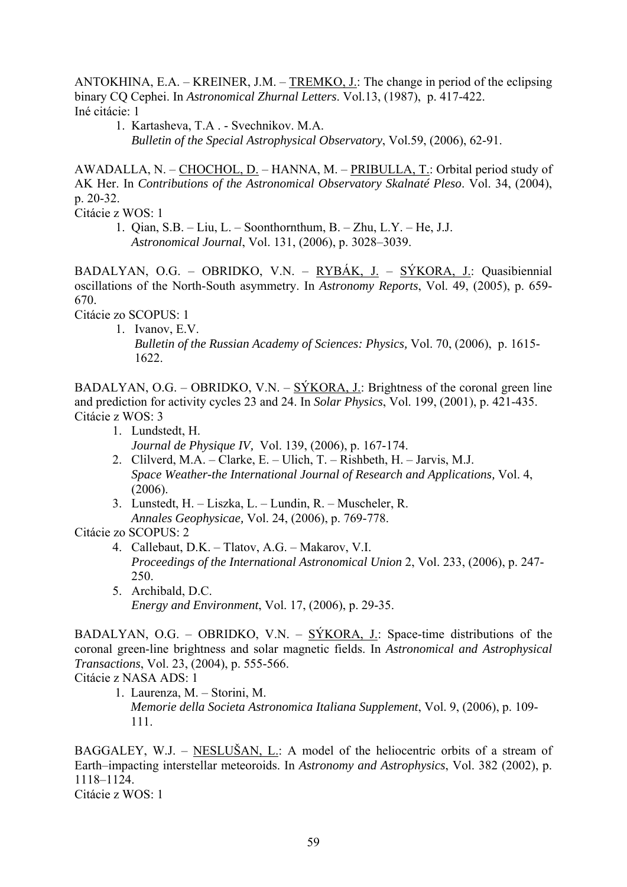ANTOKHINA, E.A. – KREINER, J.M. – TREMKO, J.: The change in period of the eclipsing binary CQ Cephei. In *Astronomical Zhurnal Letters*. Vol.13, (1987), p. 417-422. Iné citácie: 1

 1. Kartasheva, T.A . - Svechnikov. M.A. *Bulletin of the Special Astrophysical Observatory*, Vol.59, (2006), 62-91.

AWADALLA, N. – CHOCHOL, D. – HANNA, M. – PRIBULLA, T.: Orbital period study of AK Her. In *Contributions of the Astronomical Observatory Skalnaté Pleso*. Vol. 34, (2004), p. 20-32.

Citácie z WOS: 1

 1. Qian, S.B. – Liu, L. – Soonthornthum, B. – Zhu, L.Y. – He, J.J. *Astronomical Journal*, Vol. 131, (2006), p. 3028–3039.

BADALYAN, O.G. – OBRIDKO, V.N. – RYBÁK, J. – SÝKORA, J.: Quasibiennial oscillations of the North-South asymmetry. In *Astronomy Reports*, Vol. 49, (2005), p. 659- 670.

Citácie zo SCOPUS: 1

 1. Ivanov, E.V. *Bulletin of the Russian Academy of Sciences: Physics,* Vol. 70, (2006), p. 1615- 1622.

BADALYAN, O.G. – OBRIDKO, V.N. – SÝKORA, J.: Brightness of the coronal green line and prediction for activity cycles 23 and 24. In *Solar Physics*, Vol. 199, (2001), p. 421-435. Citácie z WOS: 3

- 1. Lundstedt, H. *Journal de Physique IV,* Vol. 139, (2006), p. 167-174.
- 2. Clilverd, M.A. Clarke, E. Ulich, T. Rishbeth, H. Jarvis, M.J. *Space Weather-the International Journal of Research and Applications,* Vol. 4, (2006).
- 3. Lunstedt, H. Liszka, L. Lundin, R. Muscheler, R. *Annales Geophysicae,* Vol. 24, (2006), p. 769-778.

Citácie zo SCOPUS: 2

- 4. Callebaut, D.K. Tlatov, A.G. Makarov, V.I. *Proceedings of the International Astronomical Union* 2, Vol. 233, (2006), p. 247- 250.
- 5. Archibald, D.C. *Energy and Environment*, Vol. 17, (2006), p. 29-35.

BADALYAN, O.G. – OBRIDKO, V.N. – SÝKORA, J.: Space-time distributions of the coronal green-line brightness and solar magnetic fields. In *Astronomical and Astrophysical Transactions*, Vol. 23, (2004), p. 555-566.

Citácie z NASA ADS: 1

 1. Laurenza, M. – Storini, M. *Memorie della Societa Astronomica Italiana Supplement*, Vol. 9, (2006), p. 109- 111.

BAGGALEY, W.J. – NESLUŠAN, L.: A model of the heliocentric orbits of a stream of Earth–impacting interstellar meteoroids. In *Astronomy and Astrophysics*, Vol. 382 (2002), p. 1118–1124.

Citácie z WOS: 1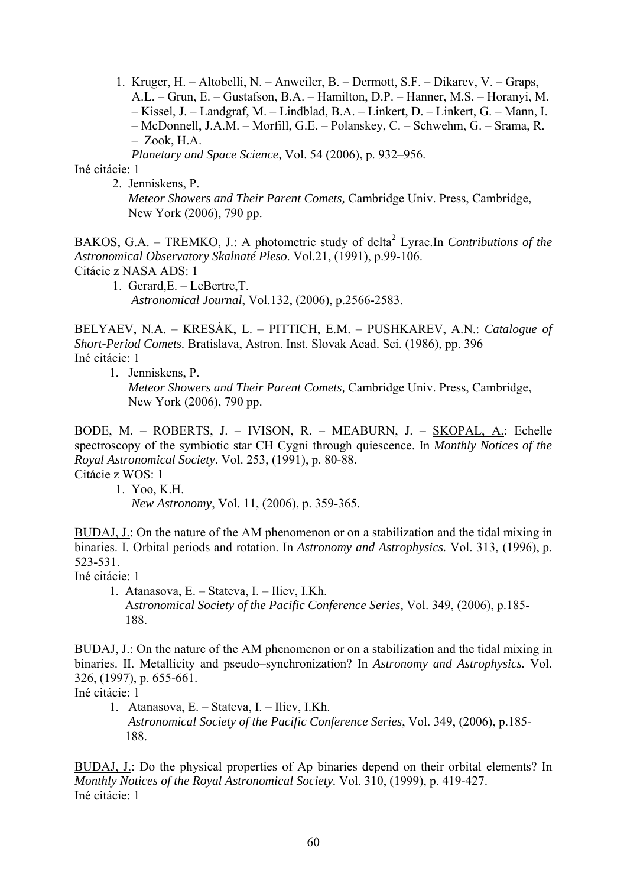1. Kruger, H. – Altobelli, N. – Anweiler, B. – Dermott, S.F. – Dikarev, V. – Graps, A.L. – Grun, E. – Gustafson, B.A. – Hamilton, D.P. – Hanner, M.S. – Horanyi, M. – Kissel, J. – Landgraf, M. – Lindblad, B.A. – Linkert, D. – Linkert, G. – Mann, I. – McDonnell, J.A.M. – Morfill, G.E. – Polanskey, C. – Schwehm, G. – Srama, R. – Zook, H.A.

 *Planetary and Space Science,* Vol. 54 (2006), p. 932–956.

Iné citácie: 1

 2. Jenniskens, P. *Meteor Showers and Their Parent Comets,* Cambridge Univ. Press, Cambridge, New York (2006), 790 pp.

BAKOS, G.A. – **TREMKO, J.**: A photometric study of delta<sup>2</sup> Lyrae. In *Contributions of the Astronomical Observatory Skalnaté Pleso*. Vol.21, (1991), p.99-106.

Citácie z NASA ADS: 1

 1. Gerard,E. – LeBertre,T. *Astronomical Journal*, Vol.132, (2006), p.2566-2583.

BELYAEV, N.A. – KRESÁK, L. – PITTICH, E.M. – PUSHKAREV, A.N.: *Catalogue of Short-Period Comets.* Bratislava, Astron. Inst. Slovak Acad. Sci. (1986), pp. 396 Iné citácie: 1

1. Jenniskens, P.

 *Meteor Showers and Their Parent Comets,* Cambridge Univ. Press, Cambridge, New York (2006), 790 pp.

BODE, M. – ROBERTS, J. – IVISON, R. – MEABURN, J. – SKOPAL, A.: Echelle spectroscopy of the symbiotic star CH Cygni through quiescence. In *Monthly Notices of the Royal Astronomical Society*. Vol. 253, (1991), p. 80-88.

Citácie z WOS: 1

1. Yoo, K.H.

*New Astronomy*, Vol. 11, (2006), p. 359-365.

BUDAJ, J.: On the nature of the AM phenomenon or on a stabilization and the tidal mixing in binaries. I. Orbital periods and rotation. In *Astronomy and Astrophysics.* Vol. 313, (1996), p. 523-531.

Iné citácie: 1

 1. Atanasova, E. – Stateva, I. – Iliev, I.Kh. A*stronomical Society of the Pacific Conference Series*, Vol. 349, (2006), p.185- 188.

BUDAJ, J.: On the nature of the AM phenomenon or on a stabilization and the tidal mixing in binaries. II. Metallicity and pseudo–synchronization? In *Astronomy and Astrophysics.* Vol. 326, (1997), p. 655-661.

Iné citácie: 1

 1. Atanasova, E. – Stateva, I. – Iliev, I.Kh. *Astronomical Society of the Pacific Conference Series*, Vol. 349, (2006), p.185- 188.

BUDAJ, J.: Do the physical properties of Ap binaries depend on their orbital elements? In *Monthly Notices of the Royal Astronomical Society.* Vol. 310, (1999), p. 419-427. Iné citácie: 1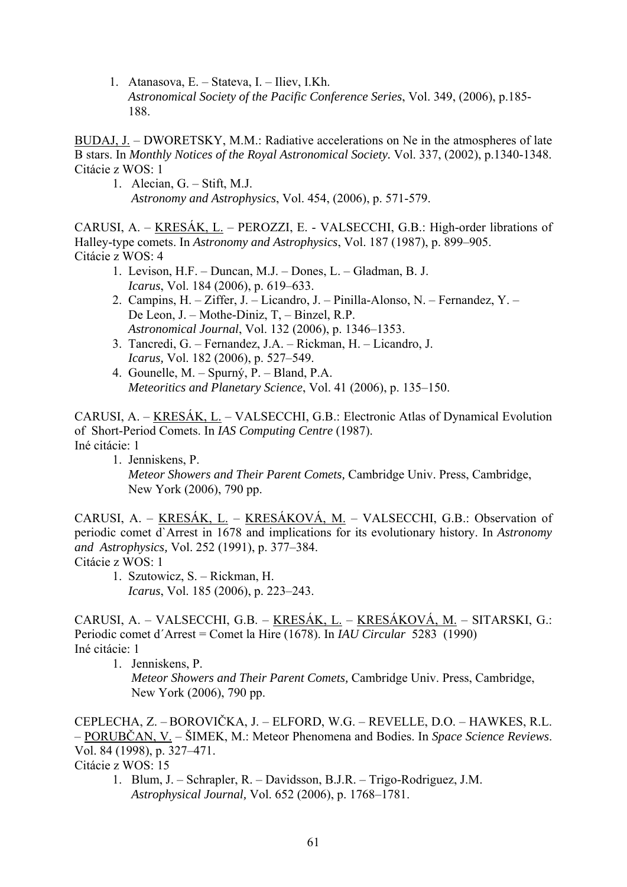1. Atanasova, E. – Stateva, I. – Iliev, I.Kh. *Astronomical Society of the Pacific Conference Series*, Vol. 349, (2006), p.185- 188.

BUDAJ, J. – DWORETSKY, M.M.: Radiative accelerations on Ne in the atmospheres of late B stars. In *Monthly Notices of the Royal Astronomical Society.* Vol. 337, (2002), p.1340-1348. Citácie z WOS: 1

 1. Alecian, G. – Stift, M.J. *Astronomy and Astrophysics*, Vol. 454, (2006), p. 571-579.

CARUSI, A. – KRESÁK, L. – PEROZZI, E. - VALSECCHI, G.B.: High-order librations of Halley-type comets. In *Astronomy and Astrophysics*, Vol. 187 (1987), p. 899–905. Citácie z WOS: 4

- 1. Levison, H.F. Duncan, M.J. Dones, L. Gladman, B. J. *Icarus*, Vol. 184 (2006), p. 619–633.
- 2. Campins, H. Ziffer, J. Licandro, J. Pinilla-Alonso, N. Fernandez, Y. De Leon, J. – Mothe-Diniz, T, – Binzel, R.P. *Astronomical Journal*, Vol. 132 (2006), p. 1346–1353.
- 3. Tancredi, G. Fernandez, J.A. Rickman, H. Licandro, J. *Icarus,* Vol. 182 (2006), p. 527–549.
- 4. Gounelle, M. Spurný, P. Bland, P.A. *Meteoritics and Planetary Science*, Vol. 41 (2006), p. 135–150.

CARUSI, A. – KRESÁK, L. – VALSECCHI, G.B.: Electronic Atlas of Dynamical Evolution of Short-Period Comets. In *IAS Computing Centre* (1987). Iné citácie: 1

 1. Jenniskens, P. *Meteor Showers and Their Parent Comets,* Cambridge Univ. Press, Cambridge, New York (2006), 790 pp.

CARUSI, A. – KRESÁK, L. – KRESÁKOVÁ, M. – VALSECCHI, G.B.: Observation of periodic comet d`Arrest in 1678 and implications for its evolutionary history. In *Astronomy and Astrophysics,* Vol. 252 (1991), p. 377–384. Citácie z WOS: 1

1. Szutowicz, S. – Rickman, H. *Icarus*, Vol. 185 (2006), p. 223–243.

CARUSI, A. – VALSECCHI, G.B. – KRESÁK, L. – KRESÁKOVÁ, M. – SITARSKI, G.: Periodic comet d´Arrest = Comet la Hire (1678). In *IAU Circular* 5283 (1990) Iné citácie: 1

1. Jenniskens, P.

 *Meteor Showers and Their Parent Comets,* Cambridge Univ. Press, Cambridge, New York (2006), 790 pp.

CEPLECHA, Z. – BOROVIČKA, J. – ELFORD, W.G. – REVELLE, D.O. – HAWKES, R.L. – PORUBČAN, V. – ŠIMEK, M.: Meteor Phenomena and Bodies. In *Space Science Reviews*. Vol. 84 (1998), p. 327–471.

Citácie z WOS: 15

1. Blum, J. – Schrapler, R. – Davidsson, B.J.R. – Trigo-Rodriguez, J.M. *Astrophysical Journal,* Vol. 652 (2006), p. 1768–1781.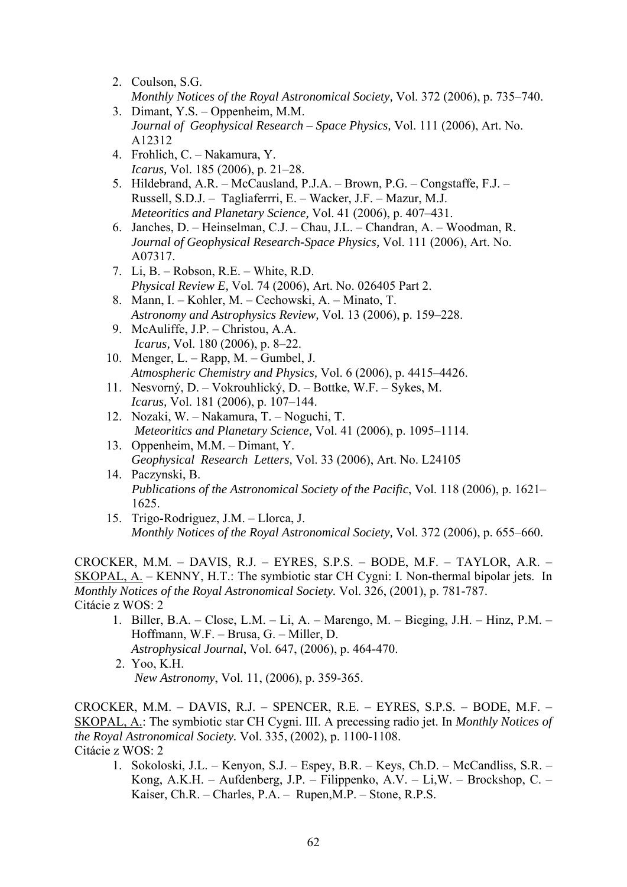- 2. Coulson, S.G. *Monthly Notices of the Royal Astronomical Society,* Vol. 372 (2006), p. 735–740.
- 3. Dimant, Y.S. Oppenheim, M.M. *Journal of Geophysical Research – Space Physics,* Vol. 111 (2006), Art. No. A12312
- 4. Frohlich, C. Nakamura, Y. *Icarus,* Vol. 185 (2006), p. 21–28.
- 5. Hildebrand, A.R. McCausland, P.J.A. Brown, P.G. Congstaffe, F.J. Russell, S.D.J. – Tagliaferrri, E. – Wacker, J.F. – Mazur, M.J. *Meteoritics and Planetary Science,* Vol. 41 (2006), p. 407–431.
- 6. Janches, D. Heinselman, C.J. Chau, J.L. Chandran, A. Woodman, R. *Journal of Geophysical Research-Space Physics,* Vol. 111 (2006), Art. No. A07317.
- 7. Li, B. Robson, R.E. White, R.D.  *Physical Review E,* Vol. 74 (2006), Art. No. 026405 Part 2.
- 8. Mann, I. Kohler, M. Cechowski, A. Minato, T. *Astronomy and Astrophysics Review,* Vol. 13 (2006), p. 159–228.
- 9. McAuliffe, J.P. Christou, A.A. *Icarus,* Vol. 180 (2006), p. 8–22.
- 10. Menger, L. Rapp, M. Gumbel, J. *Atmospheric Chemistry and Physics,* Vol. 6 (2006), p. 4415–4426.
- 11. Nesvorný, D. Vokrouhlický, D. Bottke, W.F. Sykes, M. *Icarus,* Vol. 181 (2006), p. 107–144.
- 12. Nozaki, W. Nakamura, T. Noguchi, T. *Meteoritics and Planetary Science,* Vol. 41 (2006), p. 1095–1114.
- 13. Oppenheim, M.M. Dimant, Y. *Geophysical Research Letters,* Vol. 33 (2006), Art. No. L24105
- 14. Paczynski, B.  *Publications of the Astronomical Society of the Pacific*, Vol. 118 (2006), p. 1621– 1625.
- 15. Trigo-Rodriguez, J.M. Llorca, J. *Monthly Notices of the Royal Astronomical Society,* Vol. 372 (2006), p. 655–660.

CROCKER, M.M. – DAVIS, R.J. – EYRES, S.P.S. – BODE, M.F. – TAYLOR, A.R. – SKOPAL, A. – KENNY, H.T.: The symbiotic star CH Cygni: I. Non-thermal bipolar jets. In *Monthly Notices of the Royal Astronomical Society.* Vol. 326, (2001), p. 781-787. Citácie z WOS: 2

- 1. Biller, B.A. Close, L.M. Li, A. Marengo, M. Bieging, J.H. Hinz, P.M. Hoffmann, W.F. – Brusa, G. – Miller, D. *Astrophysical Journal*, Vol. 647, (2006), p. 464-470.
- 2. Yoo, K.H. *New Astronomy*, Vol. 11, (2006), p. 359-365.

CROCKER, M.M. – DAVIS, R.J. – SPENCER, R.E. – EYRES, S.P.S. – BODE, M.F. – SKOPAL, A.: The symbiotic star CH Cygni. III. A precessing radio jet. In *Monthly Notices of the Royal Astronomical Society.* Vol. 335, (2002), p. 1100-1108. Citácie z WOS: 2

1. Sokoloski, J.L. – Kenyon, S.J. – Espey, B.R. – Keys, Ch.D. – McCandliss, S.R. – Kong, A.K.H. – Aufdenberg, J.P. – Filippenko, A.V. – Li,W. – Brockshop, C. – Kaiser, Ch.R. – Charles, P.A. – Rupen,M.P. – Stone, R.P.S.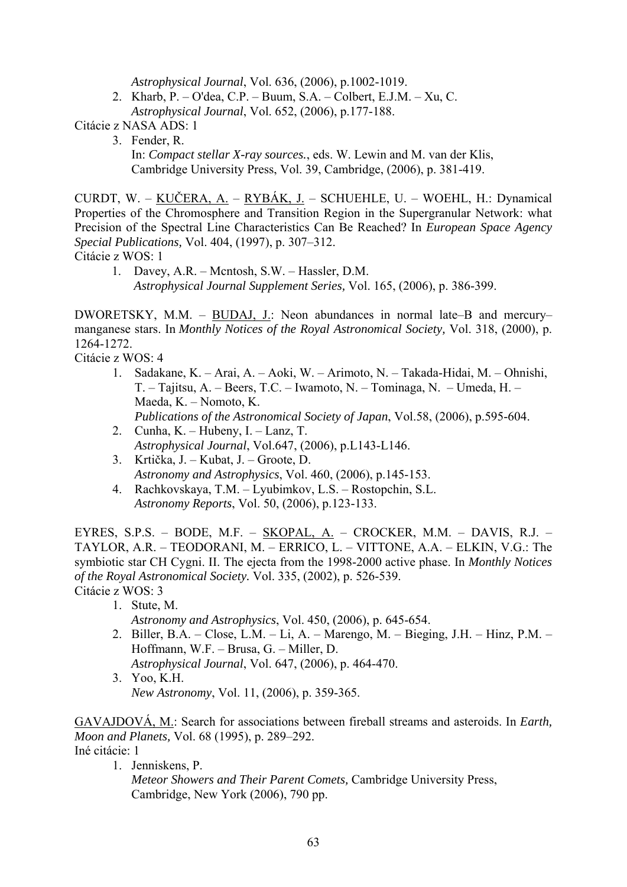*Astrophysical Journal*, Vol. 636, (2006), p.1002-1019.

 2. Kharb, P. – O'dea, C.P. – Buum, S.A. – Colbert, E.J.M. – Xu, C.  *Astrophysical Journal*, Vol. 652, (2006), p.177-188.

Citácie z NASA ADS: 1

 3. Fender, R. In: *Compact stellar X-ray sources.*, eds. W. Lewin and M. van der Klis, Cambridge University Press, Vol. 39, Cambridge, (2006), p. 381-419.

CURDT, W. – KUČERA, A. – RYBÁK, J. – SCHUEHLE, U. – WOEHL, H.: Dynamical Properties of the Chromosphere and Transition Region in the Supergranular Network: what Precision of the Spectral Line Characteristics Can Be Reached? In *European Space Agency Special Publications,* Vol. 404, (1997), p. 307–312. Citácie z WOS: 1

1. Davey, A.R. – Mcntosh, S.W. – Hassler, D.M. *Astrophysical Journal Supplement Series,* Vol. 165, (2006), p. 386-399.

DWORETSKY, M.M. – BUDAJ, J.: Neon abundances in normal late–B and mercury– manganese stars. In *Monthly Notices of the Royal Astronomical Society,* Vol. 318, (2000), p. 1264-1272.

Citácie z WOS: 4

- 1. Sadakane, K. Arai, A. Aoki, W. Arimoto, N. Takada-Hidai, M. Ohnishi, T. – Tajitsu, A. – Beers, T.C. – Iwamoto, N. – Tominaga, N. – Umeda, H. – Maeda, K. – Nomoto, K. *Publications of the Astronomical Society of Japan*, Vol.58, (2006), p.595-604.
- 2. Cunha, K. Hubeny, I. Lanz, T. *Astrophysical Journal*, Vol.647, (2006), p.L143-L146.
- 3. Krtička, J. Kubat, J. Groote, D. *Astronomy and Astrophysics*, Vol. 460, (2006), p.145-153.
- 4. Rachkovskaya, T.M. Lyubimkov, L.S. Rostopchin, S.L. *Astronomy Reports*, Vol. 50, (2006), p.123-133.

EYRES, S.P.S. – BODE, M.F. – SKOPAL, A. – CROCKER, M.M. – DAVIS, R.J. – TAYLOR, A.R. – TEODORANI, M. – ERRICO, L. – VITTONE, A.A. – ELKIN, V.G.: The symbiotic star CH Cygni. II. The ejecta from the 1998-2000 active phase. In *Monthly Notices of the Royal Astronomical Society.* Vol. 335, (2002), p. 526-539. Citácie z WOS: 3

- 1. Stute, M.
	- *Astronomy and Astrophysics*, Vol. 450, (2006), p. 645-654.
- 2. Biller, B.A. Close, L.M. Li, A. Marengo, M. Bieging, J.H. Hinz, P.M. Hoffmann, W.F. – Brusa, G. – Miller, D. *Astrophysical Journal*, Vol. 647, (2006), p. 464-470.
- 3. Yoo, K.H. *New Astronomy*, Vol. 11, (2006), p. 359-365.

GAVAJDOVÁ, M.: Search for associations between fireball streams and asteroids. In *Earth, Moon and Planets,* Vol. 68 (1995), p. 289–292.

Iné citácie: 1

1. Jenniskens, P.

 *Meteor Showers and Their Parent Comets,* Cambridge University Press, Cambridge, New York (2006), 790 pp.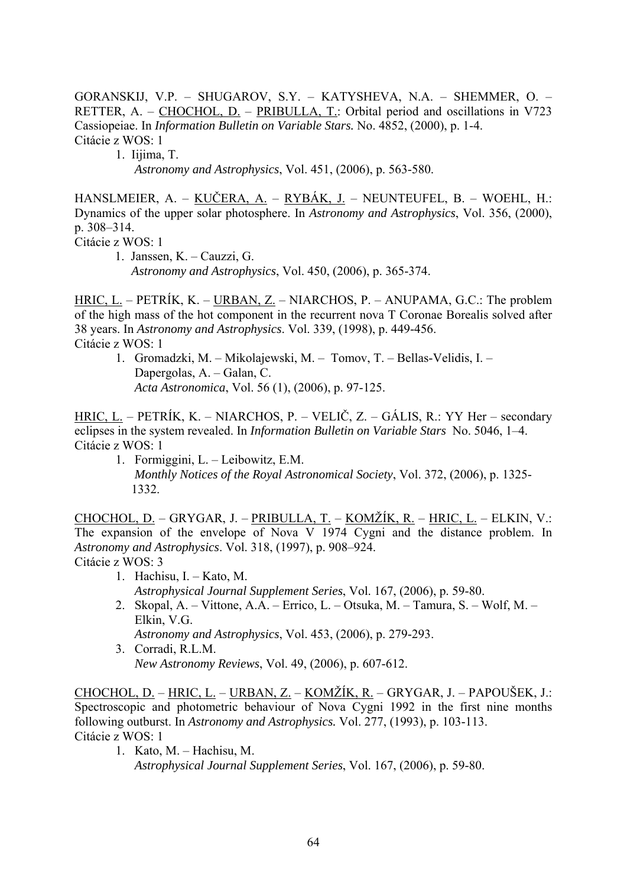GORANSKIJ, V.P. – SHUGAROV, S.Y. – KATYSHEVA, N.A. – SHEMMER, O. – RETTER, A. – CHOCHOL, D. – PRIBULLA, T.: Orbital period and oscillations in V723 Cassiopeiae. In *Information Bulletin on Variable Stars.* No. 4852, (2000), p. 1-4. Citácie z WOS: 1

1. Iijima, T.

*Astronomy and Astrophysics*, Vol. 451, (2006), p. 563-580.

HANSLMEIER, A. – KUČERA, A. – RYBÁK, J. – NEUNTEUFEL, B. – WOEHL, H.: Dynamics of the upper solar photosphere. In *Astronomy and Astrophysics*, Vol. 356, (2000), p. 308–314.

Citácie z WOS: 1

 1. Janssen, K. – Cauzzi, G. *Astronomy and Astrophysics*, Vol. 450, (2006), p. 365-374.

HRIC, L. – PETRÍK, K. – URBAN, Z. – NIARCHOS, P. – ANUPAMA, G.C.: The problem of the high mass of the hot component in the recurrent nova T Coronae Borealis solved after 38 years. In *Astronomy and Astrophysics*. Vol. 339, (1998), p. 449-456. Citácie z WOS: 1

1. Gromadzki, M. – Mikolajewski, M. – Tomov, T. – Bellas-Velidis, I. – Dapergolas, A. – Galan, C.  *Acta Astronomica*, Vol. 56 (1), (2006), p. 97-125.

HRIC, L. – PETRÍK, K. – NIARCHOS, P. – VELIČ, Z. – GÁLIS, R.: YY Her – secondary eclipses in the system revealed. In *Information Bulletin on Variable Stars* No. 5046, 1–4. Citácie z WOS: 1

 1. Formiggini, L. – Leibowitz, E.M.  *Monthly Notices of the Royal Astronomical Society*, Vol. 372, (2006), p. 1325- 1332.

CHOCHOL, D. – GRYGAR, J. – PRIBULLA, T. – KOMŽÍK, R. – HRIC, L. – ELKIN, V.: The expansion of the envelope of Nova V 1974 Cygni and the distance problem. In *Astronomy and Astrophysics*. Vol. 318, (1997), p. 908–924. Citácie z WOS: 3

- 1. Hachisu, I. Kato, M. *Astrophysical Journal Supplement Series*, Vol. 167, (2006), p. 59-80.
- 2. Skopal, A. Vittone, A.A. Errico, L. Otsuka, M. Tamura, S. Wolf, M. Elkin, V.G. *Astronomy and Astrophysics*, Vol. 453, (2006), p. 279-293.
- 3. Corradi, R.L.M.  *New Astronomy Reviews*, Vol. 49, (2006), p. 607-612.

CHOCHOL, D. – HRIC, L. – URBAN, Z. – KOMŽÍK, R. – GRYGAR, J. – PAPOUŠEK, J.: Spectroscopic and photometric behaviour of Nova Cygni 1992 in the first nine months following outburst. In *Astronomy and Astrophysics.* Vol. 277, (1993), p. 103-113. Citácie z WOS: 1

 1. Kato, M. – Hachisu, M. *Astrophysical Journal Supplement Series*, Vol. 167, (2006), p. 59-80.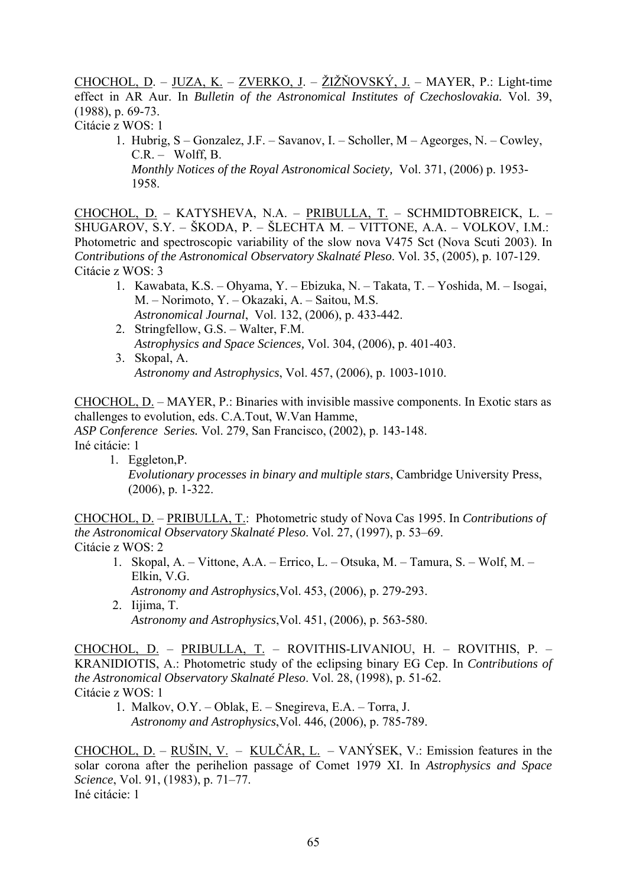CHOCHOL, D. – JUZA, K. – ZVERKO, J. – ŽIŽŇOVSKÝ, J. – MAYER, P.: Light-time effect in AR Aur. In *Bulletin of the Astronomical Institutes of Czechoslovakia.* Vol. 39, (1988), p. 69-73. Citácie z WOS: 1

 1. Hubrig, S – Gonzalez, J.F. – Savanov, I. – Scholler, M – Ageorges, N. – Cowley,  $C.R. -$  Wolff, B. *Monthly Notices of the Royal Astronomical Society,* Vol. 371, (2006) p. 1953- 1958.

CHOCHOL, D. – KATYSHEVA, N.A. – PRIBULLA, T. – SCHMIDTOBREICK, L. – SHUGAROV, S.Y. – ŠKODA, P. – ŠLECHTA M. – VITTONE, A.A. – VOLKOV, I.M.: Photometric and spectroscopic variability of the slow nova V475 Sct (Nova Scuti 2003). In *Contributions of the Astronomical Observatory Skalnaté Pleso*. Vol. 35, (2005), p. 107-129. Citácie z WOS: 3

- 1. Kawabata, K.S. Ohyama, Y. Ebizuka, N. Takata, T. Yoshida, M. Isogai, M. – Norimoto, Y. – Okazaki, A. – Saitou, M.S. *Astronomical Journal*, Vol. 132, (2006), p. 433-442.
- 2. Stringfellow, G.S. Walter, F.M.  *Astrophysics and Space Sciences,* Vol. 304, (2006), p. 401-403.
- 3. Skopal, A. *Astronomy and Astrophysics*, Vol. 457, (2006), p. 1003-1010.

CHOCHOL, D. – MAYER, P.: Binaries with invisible massive components. In Exotic stars as challenges to evolution, eds. C.A.Tout, W.Van Hamme, *ASP Conference Series.* Vol. 279, San Francisco, (2002), p. 143-148. Iné citácie: 1

1. Eggleton,P. *Evolutionary processes in binary and multiple stars*, Cambridge University Press, (2006), p. 1-322.

CHOCHOL, D. – PRIBULLA, T.: Photometric study of Nova Cas 1995. In *Contributions of the Astronomical Observatory Skalnaté Pleso*. Vol. 27, (1997), p. 53–69. Citácie z WOS: 2

- 1. Skopal, A. Vittone, A.A. Errico, L. Otsuka, M. Tamura, S. Wolf, M. Elkin, V.G.
- *Astronomy and Astrophysics*,Vol. 453, (2006), p. 279-293. 2. Iijima, T. *Astronomy and Astrophysics*,Vol. 451, (2006), p. 563-580.

CHOCHOL, D. – PRIBULLA, T. – ROVITHIS-LIVANIOU, H. – ROVITHIS, P. – KRANIDIOTIS, A.: Photometric study of the eclipsing binary EG Cep. In *Contributions of the Astronomical Observatory Skalnaté Pleso*. Vol. 28, (1998), p. 51-62. Citácie z WOS: 1

 1. Malkov, O.Y. – Oblak, E. – Snegireva, E.A. – Torra, J. *Astronomy and Astrophysics*,Vol. 446, (2006), p. 785-789.

CHOCHOL, D. – RUŠIN, V. – KULČÁR, L. – VANÝSEK, V.: Emission features in the solar corona after the perihelion passage of Comet 1979 XI. In *Astrophysics and Space Science*, Vol. 91, (1983), p. 71–77. Iné citácie: 1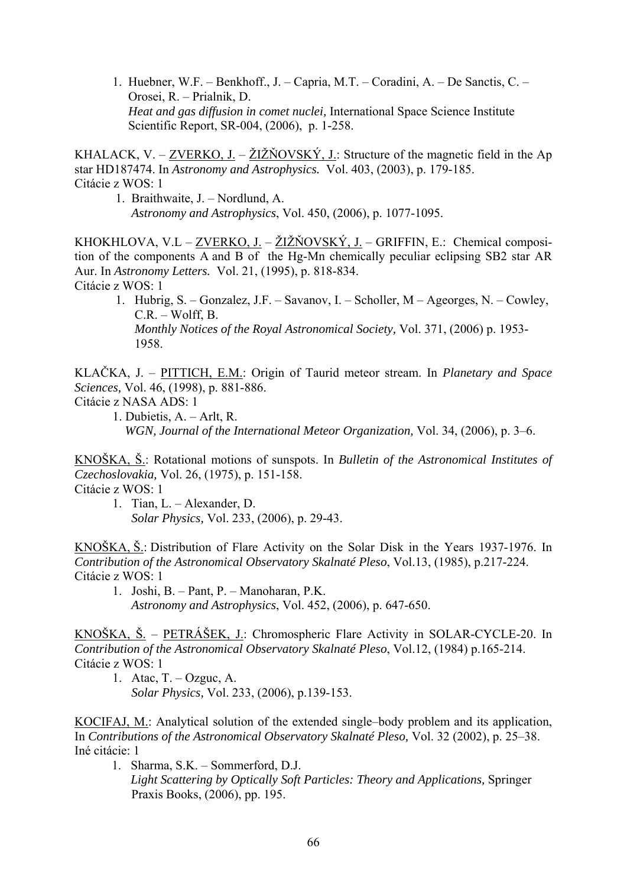1. Huebner, W.F. – Benkhoff., J. – Capria, M.T. – Coradini, A. – De Sanctis, C. – Orosei, R. – Prialnik, D. *Heat and gas diffusion in comet nuclei,* International Space Science Institute Scientific Report, SR-004, (2006), p. 1-258.

KHALACK, V. – ZVERKO, J. – ŽIŽŇOVSKÝ, J.: Structure of the magnetic field in the Ap star HD187474. In *Astronomy and Astrophysics.* Vol. 403, (2003), p. 179-185. Citácie z WOS: 1

 1. Braithwaite, J. – Nordlund, A. *Astronomy and Astrophysics*, Vol. 450, (2006), p. 1077-1095.

KHOKHLOVA, V.L – ZVERKO, J. – ŽIŽŇOVSKÝ, J. – GRIFFIN, E.: Chemical composition of the components A and B of the Hg-Mn chemically peculiar eclipsing SB2 star AR Aur. In *Astronomy Letters.* Vol. 21, (1995), p. 818-834. Citácie z WOS: 1

 1. Hubrig, S. – Gonzalez, J.F. – Savanov, I. – Scholler, M – Ageorges, N. – Cowley, C.R. – Wolff, B. *Monthly Notices of the Royal Astronomical Society,* Vol. 371, (2006) p. 1953- 1958.

KLAČKA, J. – PITTICH, E.M.: Origin of Taurid meteor stream. In *Planetary and Space Sciences,* Vol. 46, (1998), p. 881-886.

- Citácie z NASA ADS: 1
	- 1. Dubietis, A. Arlt, R.

*WGN, Journal of the International Meteor Organization,* Vol. 34, (2006), p. 3–6.

KNOŠKA, Š.: Rotational motions of sunspots. In *Bulletin of the Astronomical Institutes of Czechoslovakia,* Vol. 26, (1975), p. 151-158.

Citácie z WOS: 1

1. Tian, L. – Alexander, D.  *Solar Physics,* Vol. 233, (2006), p. 29-43.

KNOŠKA, Š.: Distribution of Flare Activity on the Solar Disk in the Years 1937-1976. In *Contribution of the Astronomical Observatory Skalnaté Pleso*, Vol.13, (1985), p.217-224. Citácie z WOS: 1

1. Joshi, B. – Pant, P. – Manoharan, P.K. *Astronomy and Astrophysics*, Vol. 452, (2006), p. 647-650.

KNOŠKA, Š. – PETRÁŠEK, J.: Chromospheric Flare Activity in SOLAR-CYCLE-20. In *Contribution of the Astronomical Observatory Skalnaté Pleso*, Vol.12, (1984) p.165-214. Citácie z WOS: 1

1. Atac,  $T. - Oz$ guc, A.  *Solar Physics,* Vol. 233, (2006), p.139-153.

KOCIFAJ, M.: Analytical solution of the extended single–body problem and its application, In *Contributions of the Astronomical Observatory Skalnaté Pleso,* Vol. 32 (2002), p. 25–38. Iné citácie: 1

1. Sharma, S.K. – Sommerford, D.J.  *Light Scattering by Optically Soft Particles: Theory and Applications,* Springer Praxis Books, (2006), pp. 195.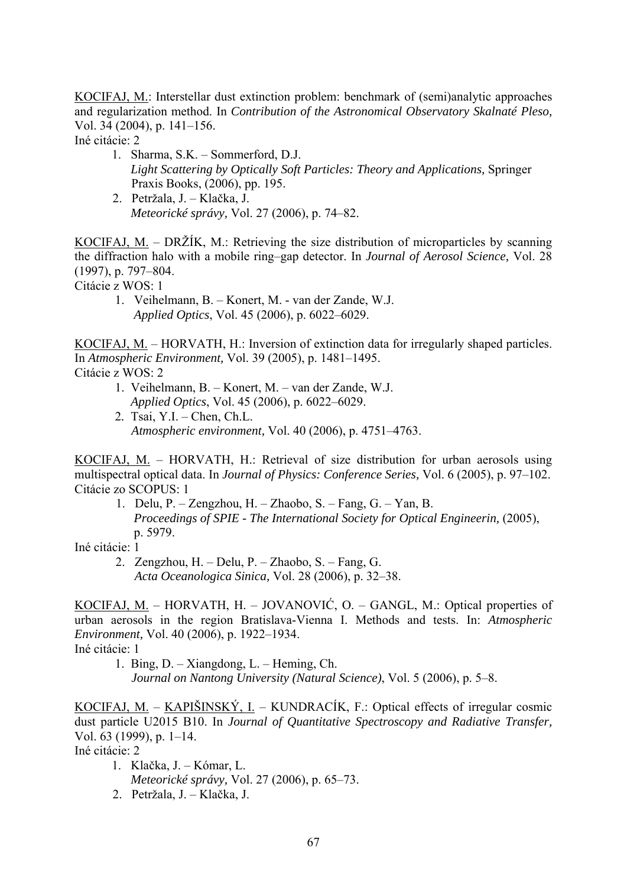KOCIFAJ, M.: Interstellar dust extinction problem: benchmark of (semi)analytic approaches and regularization method. In *Contribution of the Astronomical Observatory Skalnaté Pleso,* Vol. 34 (2004), p. 141–156.

Iné citácie: 2

- 1. Sharma, S.K. Sommerford, D.J.  *Light Scattering by Optically Soft Particles: Theory and Applications,* Springer Praxis Books, (2006), pp. 195.
- 2. Petržala, J. Klačka, J.  *Meteorické správy,* Vol. 27 (2006), p. 74–82.

KOCIFAJ, M. – DRŽÍK, M.: Retrieving the size distribution of microparticles by scanning the diffraction halo with a mobile ring–gap detector. In *Journal of Aerosol Science,* Vol. 28 (1997), p. 797–804.

Citácie z WOS: 1

 1. Veihelmann, B. – Konert, M. - van der Zande, W.J. *Applied Optics*, Vol. 45 (2006), p. 6022–6029.

KOCIFAJ, M. – HORVATH, H.: Inversion of extinction data for irregularly shaped particles. In *Atmospheric Environment,* Vol. 39 (2005), p. 1481–1495. Citácie z WOS: 2

- 1. Veihelmann, B. Konert, M. van der Zande, W.J. *Applied Optics*, Vol. 45 (2006), p. 6022–6029.
- 2*.* Tsai, Y.I. Chen, Ch.L. *Atmospheric environment,* Vol. 40 (2006), p. 4751–4763.

KOCIFAJ, M. – HORVATH, H.: Retrieval of size distribution for urban aerosols using multispectral optical data. In *Journal of Physics: Conference Series,* Vol. 6 (2005), p. 97–102. Citácie zo SCOPUS: 1

 1. Delu, P. – Zengzhou, H. – Zhaobo, S. – Fang, G. – Yan, B. *Proceedings of SPIE - The International Society for Optical Engineerin, (2005),* p. 5979.

Iné citácie: 1

 2. Zengzhou, H. – Delu, P. – Zhaobo, S. – Fang, G. *Acta Oceanologica Sinica,* Vol. 28 (2006), p. 32–38.

KOCIFAJ, M. – HORVATH, H. – JOVANOVIĆ, O. – GANGL, M.: Optical properties of urban aerosols in the region Bratislava-Vienna I. Methods and tests. In: *Atmospheric Environment,* Vol. 40 (2006), p. 1922–1934. Iné citácie: 1

 1. Bing, D. – Xiangdong, L. – Heming, Ch. *Journal on Nantong University (Natural Science)*, Vol. 5 (2006), p. 5–8.

KOCIFAJ, M. – KAPIŠINSKÝ, I. – KUNDRACÍK, F.: Optical effects of irregular cosmic dust particle U2015 B10. In *Journal of Quantitative Spectroscopy and Radiative Transfer,* Vol. 63 (1999), p. 1–14.

Iné citácie: 2

- 1. Klačka, J. Kómar, L.  *Meteorické správy,* Vol. 27 (2006), p. 65–73.
- 2. Petržala, J. Klačka, J.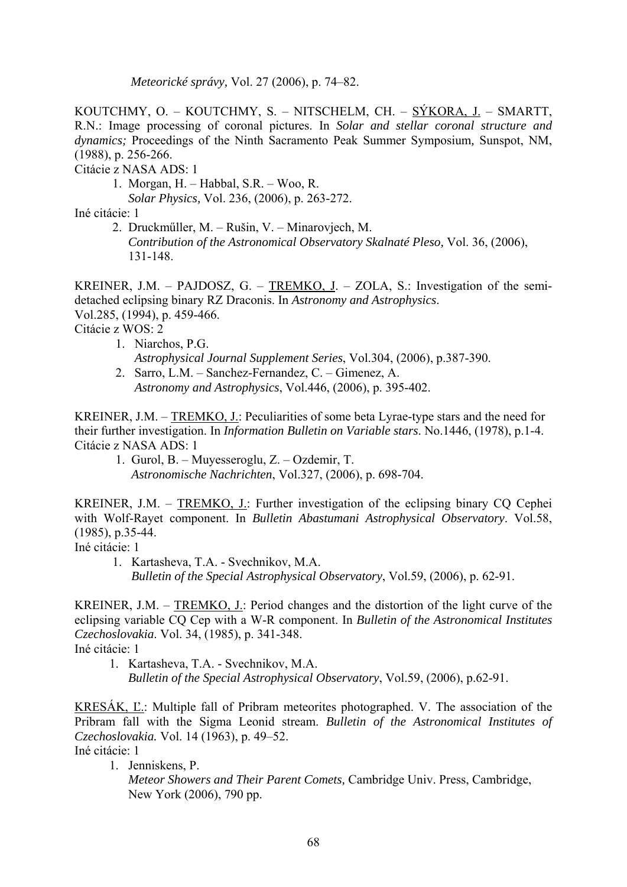*Meteorické správy,* Vol. 27 (2006), p. 74–82.

KOUTCHMY, O. – KOUTCHMY, S. – NITSCHELM, CH. – SÝKORA, J. – SMARTT, R.N.: Image processing of coronal pictures. In *Solar and stellar coronal structure and dynamics;* Proceedings of the Ninth Sacramento Peak Summer Symposium*,* Sunspot, NM, (1988), p. 256-266.

Citácie z NASA ADS: 1

- 1. Morgan, H. Habbal, S.R. Woo, R.
	- *Solar Physics,* Vol. 236, (2006), p. 263-272.

Iné citácie: 1

 2. Druckműller, M. – Rušin, V. – Minarovjech, M. *Contribution of the Astronomical Observatory Skalnaté Pleso,* Vol. 36, (2006), 131-148.

KREINER, J.M. – PAJDOSZ, G. – TREMKO, J. – ZOLA, S.: Investigation of the semidetached eclipsing binary RZ Draconis. In *Astronomy and Astrophysics*. Vol.285, (1994), p. 459-466. Citácie z WOS: 2

- 1. Niarchos, P.G. *Astrophysical Journal Supplement Series*, Vol.304, (2006), p.387-390.
- 2. Sarro, L.M. Sanchez-Fernandez, C. Gimenez, A. *Astronomy and Astrophysics*, Vol.446, (2006), p. 395-402.

KREINER, J.M. – TREMKO, J.: Peculiarities of some beta Lyrae-type stars and the need for their further investigation. In *Information Bulletin on Variable stars*. No.1446, (1978), p.1-4. Citácie z NASA ADS: 1

 1. Gurol, B. – Muyesseroglu, Z. – Ozdemir, T. *Astronomische Nachrichten*, Vol.327, (2006), p. 698-704.

KREINER, J.M. – TREMKO, J.: Further investigation of the eclipsing binary CQ Cephei with Wolf-Rayet component. In *Bulletin Abastumani Astrophysical Observatory*. Vol.58, (1985), p.35-44.

Iné citácie: 1

 1. Kartasheva, T.A. - Svechnikov, M.A. *Bulletin of the Special Astrophysical Observatory*, Vol.59, (2006), p. 62-91.

KREINER, J.M. – TREMKO, J.: Period changes and the distortion of the light curve of the eclipsing variable CQ Cep with a W-R component. In *Bulletin of the Astronomical Institutes Czechoslovakia*. Vol. 34, (1985), p. 341-348. Iné citácie: 1

 1. Kartasheva, T.A. - Svechnikov, M.A. *Bulletin of the Special Astrophysical Observatory*, Vol.59, (2006), p.62-91.

KRESÁK, Ľ.: Multiple fall of Pribram meteorites photographed. V. The association of the Pribram fall with the Sigma Leonid stream. *Bulletin of the Astronomical Institutes of Czechoslovakia.* Vol. 14 (1963), p. 49–52.

Iné citácie: 1

- 1. Jenniskens, P.
	- *Meteor Showers and Their Parent Comets,* Cambridge Univ. Press, Cambridge, New York (2006), 790 pp.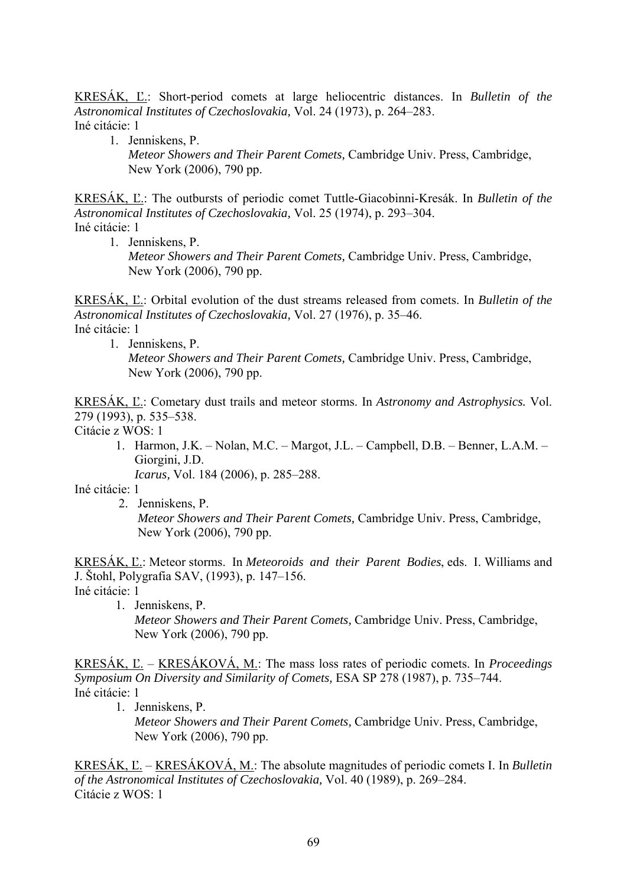KRESÁK, Ľ.: Short-period comets at large heliocentric distances. In *Bulletin of the Astronomical Institutes of Czechoslovakia,* Vol. 24 (1973), p. 264–283. Iné citácie: 1

 1. Jenniskens, P. *Meteor Showers and Their Parent Comets,* Cambridge Univ. Press, Cambridge, New York (2006), 790 pp.

KRESÁK, Ľ.: The outbursts of periodic comet Tuttle-Giacobinni-Kresák. In *Bulletin of the Astronomical Institutes of Czechoslovakia,* Vol. 25 (1974), p. 293–304. Iné citácie: 1

1. Jenniskens, P.

 *Meteor Showers and Their Parent Comets,* Cambridge Univ. Press, Cambridge, New York (2006), 790 pp.

KRESÁK, Ľ.: Orbital evolution of the dust streams released from comets. In *Bulletin of the Astronomical Institutes of Czechoslovakia,* Vol. 27 (1976), p. 35–46. Iné citácie: 1

1. Jenniskens, P.

 *Meteor Showers and Their Parent Comets,* Cambridge Univ. Press, Cambridge, New York (2006), 790 pp.

KRESÁK, Ľ.: Cometary dust trails and meteor storms. In *Astronomy and Astrophysics.* Vol. 279 (1993), p. 535–538.

Citácie z WOS: 1

 1. Harmon, J.K. – Nolan, M.C. – Margot, J.L. – Campbell, D.B. – Benner, L.A.M. – Giorgini, J.D.

*Icarus,* Vol. 184 (2006), p. 285–288.

Iné citácie: 1

2. Jenniskens, P.

 *Meteor Showers and Their Parent Comets,* Cambridge Univ. Press, Cambridge, New York (2006), 790 pp.

KRESÁK, Ľ.: Meteor storms. In *Meteoroids and their Parent Bodies*, eds. I. Williams and J. Štohl, Polygrafia SAV, (1993), p. 147–156. Iné citácie: 1

 1. Jenniskens, P. *Meteor Showers and Their Parent Comets,* Cambridge Univ. Press, Cambridge, New York (2006), 790 pp.

KRESÁK, Ľ. – KRESÁKOVÁ, M.: The mass loss rates of periodic comets. In *Proceedings Symposium On Diversity and Similarity of Comets,* ESA SP 278 (1987), p. 735–744. Iné citácie: 1

1. Jenniskens, P.

 *Meteor Showers and Their Parent Comets,* Cambridge Univ. Press, Cambridge, New York (2006), 790 pp.

KRESÁK, Ľ. – KRESÁKOVÁ, M.: The absolute magnitudes of periodic comets I. In *Bulletin of the Astronomical Institutes of Czechoslovakia,* Vol. 40 (1989), p. 269–284. Citácie z WOS: 1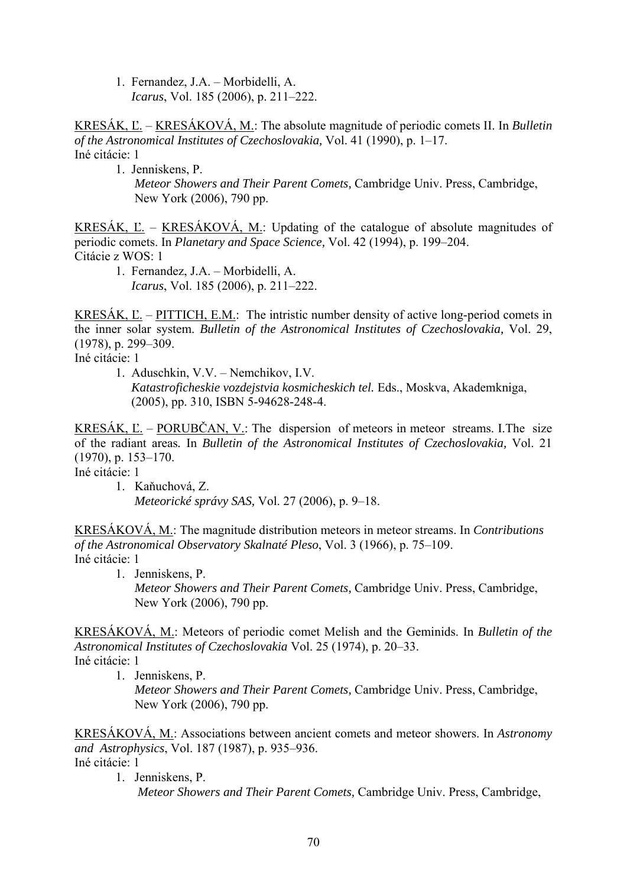1. Fernandez, J.A. – Morbidelli, A. *Icarus*, Vol. 185 (2006), p. 211–222.

KRESÁK, Ľ. – KRESÁKOVÁ, M.: The absolute magnitude of periodic comets II. In *Bulletin of the Astronomical Institutes of Czechoslovakia,* Vol. 41 (1990), p. 1–17. Iné citácie: 1

1. Jenniskens, P.

 *Meteor Showers and Their Parent Comets,* Cambridge Univ. Press, Cambridge, New York (2006), 790 pp.

KRESÁK, Ľ. – KRESÁKOVÁ, M.: Updating of the catalogue of absolute magnitudes of periodic comets. In *Planetary and Space Science,* Vol. 42 (1994), p. 199–204. Citácie z WOS: 1

 1. Fernandez, J.A. – Morbidelli, A. *Icarus*, Vol. 185 (2006), p. 211–222.

KRESÁK, Ľ. – PITTICH, E.M.: The intristic number density of active long-period comets in the inner solar system. *Bulletin of the Astronomical Institutes of Czechoslovakia,* Vol. 29, (1978), p. 299–309.

Iné citácie: 1

1. Aduschkin, V.V. – Nemchikov, I.V.

 *Katastroficheskie vozdejstvia kosmicheskich tel.* Eds., Moskva, Akademkniga, (2005), pp. 310, ISBN 5-94628-248-4.

KRESÁK, Ľ. – PORUBČAN, V.: The dispersion of meteors in meteor streams. I.The size of the radiant areas*.* In *Bulletin of the Astronomical Institutes of Czechoslovakia,* Vol. 21 (1970), p. 153–170.

Iné citácie: 1

1. Kaňuchová, Z. *Meteorické správy SAS,* Vol. 27 (2006), p. 9–18.

KRESÁKOVÁ, M.: The magnitude distribution meteors in meteor streams. In *Contributions of the Astronomical Observatory Skalnaté Pleso*, Vol. 3 (1966), p. 75–109. Iné citácie: 1

1. Jenniskens, P.

 *Meteor Showers and Their Parent Comets,* Cambridge Univ. Press, Cambridge, New York (2006), 790 pp.

KRESÁKOVÁ, M.: Meteors of periodic comet Melish and the Geminids. In *Bulletin of the Astronomical Institutes of Czechoslovakia* Vol. 25 (1974), p. 20–33. Iné citácie: 1

1. Jenniskens, P.

 *Meteor Showers and Their Parent Comets,* Cambridge Univ. Press, Cambridge, New York (2006), 790 pp.

KRESÁKOVÁ, M.: Associations between ancient comets and meteor showers. In *Astronomy and Astrophysics*, Vol. 187 (1987), p. 935–936. Iné citácie: 1

1. Jenniskens, P.

*Meteor Showers and Their Parent Comets,* Cambridge Univ. Press, Cambridge,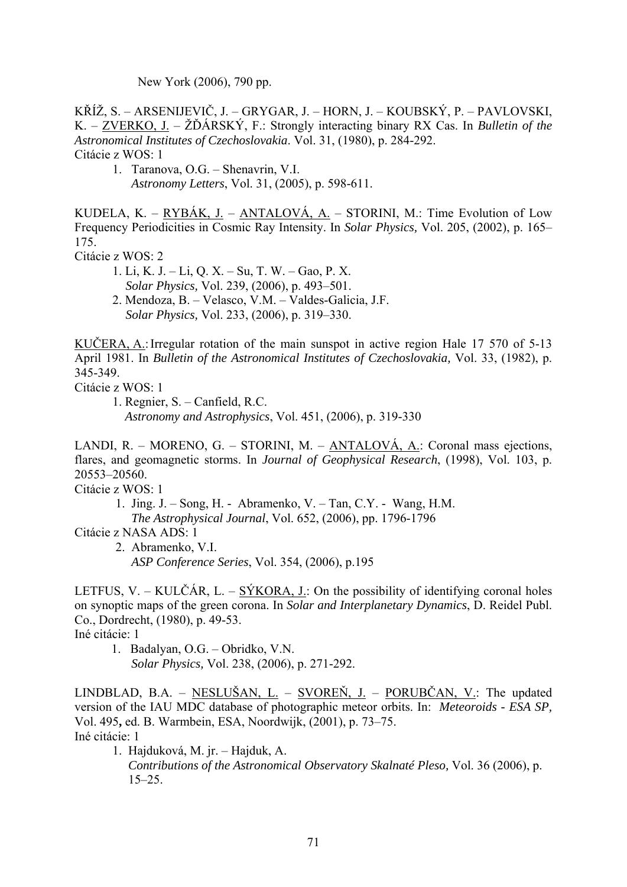New York (2006), 790 pp.

KŘÍŽ, S. – ARSENIJEVIČ, J. – GRYGAR, J. – HORN, J. – KOUBSKÝ, P. – PAVLOVSKI, K. – ZVERKO, J. – ŽĎÁRSKÝ, F.: Strongly interacting binary RX Cas. In *Bulletin of the Astronomical Institutes of Czechoslovakia*. Vol. 31, (1980), p. 284-292. Citácie z WOS: 1

1. Taranova, O.G. – Shenavrin, V.I. *Astronomy Letters*, Vol. 31, (2005), p. 598-611.

KUDELA, K. – RYBÁK, J. – ANTALOVÁ, A. – STORINI, M.: Time Evolution of Low Frequency Periodicities in Cosmic Ray Intensity. In *Solar Physics,* Vol. 205, (2002), p. 165– 175.

Citácie z WOS: 2

 1. Li, K. J. – Li, Q. X. – Su, T. W. – Gao, P. X. *Solar Physics,* Vol. 239, (2006), p. 493–501. 2. Mendoza, B. – Velasco, V.M. – Valdes-Galicia, J.F.

*Solar Physics,* Vol. 233, (2006), p. 319–330.

KUČERA, A.: Irregular rotation of the main sunspot in active region Hale 17 570 of 5-13 April 1981. In *Bulletin of the Astronomical Institutes of Czechoslovakia,* Vol. 33, (1982), p. 345-349.

Citácie z WOS: 1

1. Regnier, S. – Canfield, R.C.  *Astronomy and Astrophysics*, Vol. 451, (2006), p. 319-330

LANDI, R. – MORENO, G. – STORINI, M. – ANTALOVÁ, A.: Coronal mass ejections, flares, and geomagnetic storms. In *Journal of Geophysical Research*, (1998), Vol. 103, p. 20553–20560.

Citácie z WOS: 1

 1. Jing. J. – Song, H. - Abramenko, V. – Tan, C.Y. - Wang, H.M.  *The Astrophysical Journal*, Vol. 652, (2006), pp. 1796-1796

Citácie z NASA ADS: 1

 2. Abramenko, V.I. *ASP Conference Series*, Vol. 354, (2006), p.195

LETFUS, V. – KULČÁR, L. – SÝKORA, J.: On the possibility of identifying coronal holes on synoptic maps of the green corona. In *Solar and Interplanetary Dynamics*, D. Reidel Publ. Co., Dordrecht, (1980), p. 49-53.

Iné citácie: 1

 1. Badalyan, O.G. – Obridko, V.N. *Solar Physics,* Vol. 238, (2006), p. 271-292.

LINDBLAD, B.A. – NESLUŠAN, L. – SVOREŇ, J. – PORUBČAN, V.: The updated version of the IAU MDC database of photographic meteor orbits. In: *Meteoroids - ESA SP,*  Vol. 495**,** ed. B. Warmbein, ESA, Noordwijk, (2001), p. 73–75. Iné citácie: 1

1. Hajduková, M. jr. – Hajduk, A.

 *Contributions of the Astronomical Observatory Skalnaté Pleso,* Vol. 36 (2006), p. 15–25.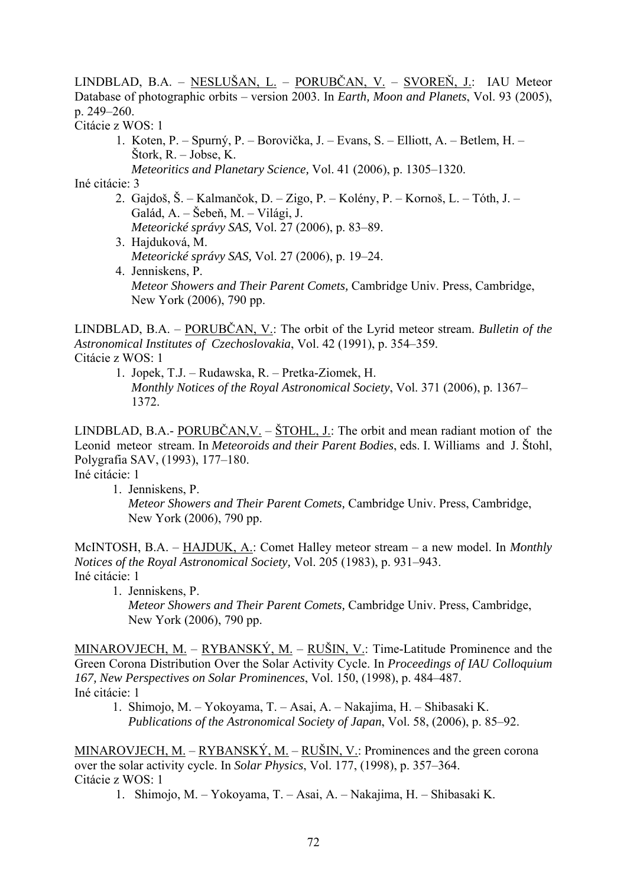LINDBLAD, B.A. – NESLUŠAN, L. – PORUBČAN, V. – SVOREŇ, J.: IAU Meteor Database of photographic orbits – version 2003. In *Earth, Moon and Planets*, Vol. 93 (2005), p. 249–260.

Citácie z WOS: 1

 1. Koten, P. – Spurný, P. – Borovička, J. – Evans, S. – Elliott, A. – Betlem, H. – Štork, R. – Jobse, K. *Meteoritics and Planetary Science,* Vol. 41 (2006), p. 1305–1320.

Iné citácie: 3

- 2. Gajdoš, Š. Kalmančok, D. Zigo, P. Kolény, P. Kornoš, L. Tóth, J. Galád, A. – Šebeň, M. – Világi, J. *Meteorické správy SAS,* Vol. 27 (2006), p. 83–89.
- 3. Hajduková, M. *Meteorické správy SAS,* Vol. 27 (2006), p. 19–24. 4. Jenniskens, P.
	- *Meteor Showers and Their Parent Comets,* Cambridge Univ. Press, Cambridge, New York (2006), 790 pp.

LINDBLAD, B.A. – PORUBČAN, V.: The orbit of the Lyrid meteor stream. *Bulletin of the Astronomical Institutes of Czechoslovakia*, Vol. 42 (1991), p. 354–359. Citácie z WOS: 1

 1. Jopek, T.J. – Rudawska, R. – Pretka-Ziomek, H. *Monthly Notices of the Royal Astronomical Society*, Vol. 371 (2006), p. 1367– 1372.

LINDBLAD, B.A.- PORUBČAN, V. –  $\text{STOHL}$ , J.: The orbit and mean radiant motion of the Leonid meteor stream. In *Meteoroids and their Parent Bodies*, eds. I. Williams and J. Štohl, Polygrafia SAV, (1993), 177–180.

Iné citácie: 1

1. Jenniskens, P.

 *Meteor Showers and Their Parent Comets,* Cambridge Univ. Press, Cambridge, New York (2006), 790 pp.

McINTOSH, B.A. – HAJDUK, A.: Comet Halley meteor stream – a new model. In *Monthly Notices of the Royal Astronomical Society,* Vol. 205 (1983), p. 931–943. Iné citácie: 1

 1. Jenniskens, P. *Meteor Showers and Their Parent Comets,* Cambridge Univ. Press, Cambridge, New York (2006), 790 pp.

MINAROVJECH, M. – RYBANSKÝ, M. – RUŠIN, V.: Time-Latitude Prominence and the Green Corona Distribution Over the Solar Activity Cycle. In *Proceedings of IAU Colloquium 167, New Perspectives on Solar Prominences*, Vol. 150, (1998), p. 484–487. Iné citácie: 1

 1. Shimojo, M. – Yokoyama, T. – Asai, A. – Nakajima, H. – Shibasaki K. *Publications of the Astronomical Society of Japan*, Vol. 58, (2006), p. 85–92.

MINAROVJECH, M. – RYBANSKÝ, M. – RUŠIN, V.: Prominences and the green corona over the solar activity cycle. In *Solar Physics*, Vol. 177, (1998), p. 357–364. Citácie z WOS: 1

1. Shimojo, M. – Yokoyama, T. – Asai, A. – Nakajima, H. – Shibasaki K.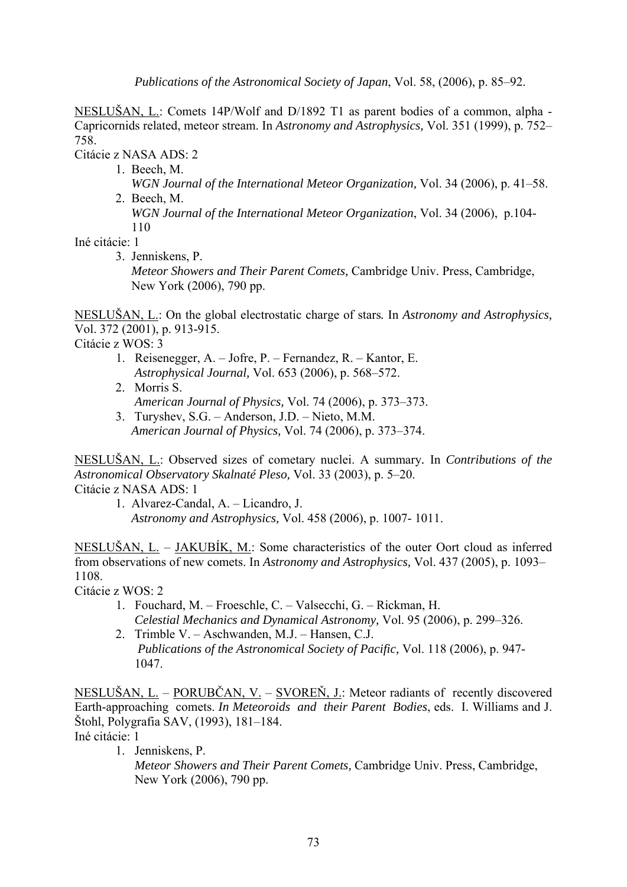*Publications of the Astronomical Society of Japan*, Vol. 58, (2006), p. 85–92.

NESLUŠAN, L.: Comets 14P/Wolf and D/1892 T1 as parent bodies of a common, alpha - Capricornids related, meteor stream. In *Astronomy and Astrophysics,* Vol. 351 (1999), p. 752– 758.

Citácie z NASA ADS: 2

- 1. Beech, M.
- *WGN Journal of the International Meteor Organization,* Vol. 34 (2006), p. 41–58. 2. Beech, M.

 *WGN Journal of the International Meteor Organization*, Vol. 34 (2006), p.104- 110

Iné citácie: 1

3. Jenniskens, P.

 *Meteor Showers and Their Parent Comets,* Cambridge Univ. Press, Cambridge, New York (2006), 790 pp.

NESLUŠAN, L.: On the global electrostatic charge of stars*.* In *Astronomy and Astrophysics,* Vol. 372 (2001), p. 913-915.

Citácie z WOS: 3

- 1. Reisenegger, A. Jofre, P. Fernandez, R. Kantor, E. *Astrophysical Journal,* Vol. 653 (2006), p. 568–572.
- 2. Morris S. *American Journal of Physics,* Vol. 74 (2006), p. 373–373.
- 3. Turyshev, S.G. Anderson, J.D. Nieto, M.M. *American Journal of Physics,* Vol. 74 (2006), p. 373–374.

NESLUŠAN, L.: Observed sizes of cometary nuclei. A summary*.* In *Contributions of the Astronomical Observatory Skalnaté Pleso,* Vol. 33 (2003), p. 5–20.

Citácie z NASA ADS: 1

 1. Alvarez-Candal, A. – Licandro, J. *Astronomy and Astrophysics,* Vol. 458 (2006), p. 1007- 1011.

NESLUŠAN, L. – JAKUBÍK, M.: Some characteristics of the outer Oort cloud as inferred from observations of new comets. In *Astronomy and Astrophysics,* Vol. 437 (2005), p. 1093– 1108.

Citácie z WOS: 2

- 1. Fouchard, M. Froeschle, C. Valsecchi, G. Rickman, H.  *Celestial Mechanics and Dynamical Astronomy,* Vol. 95 (2006), p. 299–326.
- 2. Trimble V. Aschwanden, M.J. Hansen, C.J. *Publications of the Astronomical Society of Pacific,* Vol. 118 (2006), p. 947- 1047.

NESLUŠAN, L. – PORUBČAN, V. – SVOREŇ, J.: Meteor radiants of recently discovered Earth-approaching comets. *In Meteoroids and their Parent Bodies*, eds. I. Williams and J. Štohl, Polygrafia SAV, (1993), 181–184. Iné citácie: 1

1. Jenniskens, P.

 *Meteor Showers and Their Parent Comets,* Cambridge Univ. Press, Cambridge, New York (2006), 790 pp.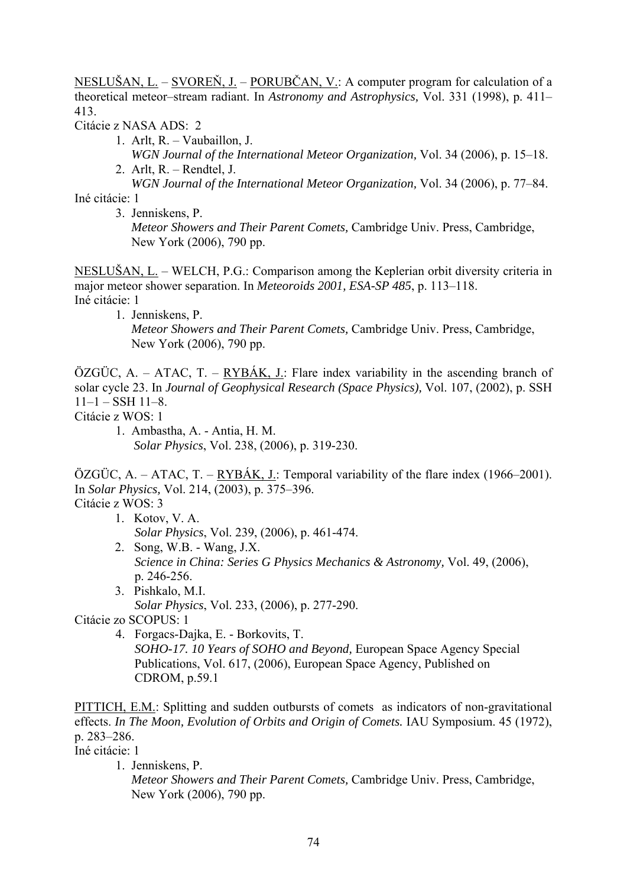NESLUŠAN, L. – SVOREŇ, J. – PORUBČAN, V.: A computer program for calculation of a theoretical meteor–stream radiant. In *Astronomy and Astrophysics,* Vol. 331 (1998), p. 411– 413.

Citácie z NASA ADS: 2

- 1. Arlt, R. Vaubaillon, J. *WGN Journal of the International Meteor Organization,* Vol. 34 (2006), p. 15–18.
- 2. Arlt, R. Rendtel, J.

*WGN Journal of the International Meteor Organization,* Vol. 34 (2006), p. 77–84.

Iné citácie: 1

 3. Jenniskens, P. *Meteor Showers and Their Parent Comets,* Cambridge Univ. Press, Cambridge, New York (2006), 790 pp.

NESLUŠAN, L. – WELCH, P.G.: Comparison among the Keplerian orbit diversity criteria in major meteor shower separation. In *Meteoroids 2001, ESA-SP 485*, p. 113–118. Iné citácie: 1

1. Jenniskens, P.

 *Meteor Showers and Their Parent Comets,* Cambridge Univ. Press, Cambridge, New York (2006), 790 pp.

ÖZGÜC, A. – ATAC, T. –  $RYB\overrightarrow{AK}$ , J.: Flare index variability in the ascending branch of solar cycle 23. In *Journal of Geophysical Research (Space Physics),* Vol. 107, (2002), p. SSH  $11-1 - SSH$  11–8.

- Citácie z WOS: 1
	- 1. Ambastha, A. Antia, H. M. *Solar Physics*, Vol. 238, (2006), p. 319-230.

ÖZGÜC, A. – ATAC, T. – RYBÁK, J.: Temporal variability of the flare index (1966–2001). In *Solar Physics,* Vol. 214, (2003), p. 375–396. Citácie z WOS: 3

- 1. Kotov, V. A.
	- *Solar Physics*, Vol. 239, (2006), p. 461-474.
- 2. Song, W.B. Wang, J.X. *Science in China: Series G Physics Mechanics & Astronomy,* Vol. 49, (2006), p. 246-256.
- 3. Pishkalo, M.I. *Solar Physics*, Vol. 233, (2006), p. 277-290.

Citácie zo SCOPUS: 1

 4. Forgacs-Dajka, E. - Borkovits, T. *SOHO-17. 10 Years of SOHO and Beyond,* European Space Agency Special Publications, Vol. 617, (2006), European Space Agency, Published on CDROM, p.59.1

PITTICH, E.M.: Splitting and sudden outbursts of comets as indicators of non-gravitational effects. *In The Moon, Evolution of Orbits and Origin of Comets.* IAU Symposium. 45 (1972), p. 283–286.

Iné citácie: 1

1. Jenniskens, P.

 *Meteor Showers and Their Parent Comets,* Cambridge Univ. Press, Cambridge, New York (2006), 790 pp.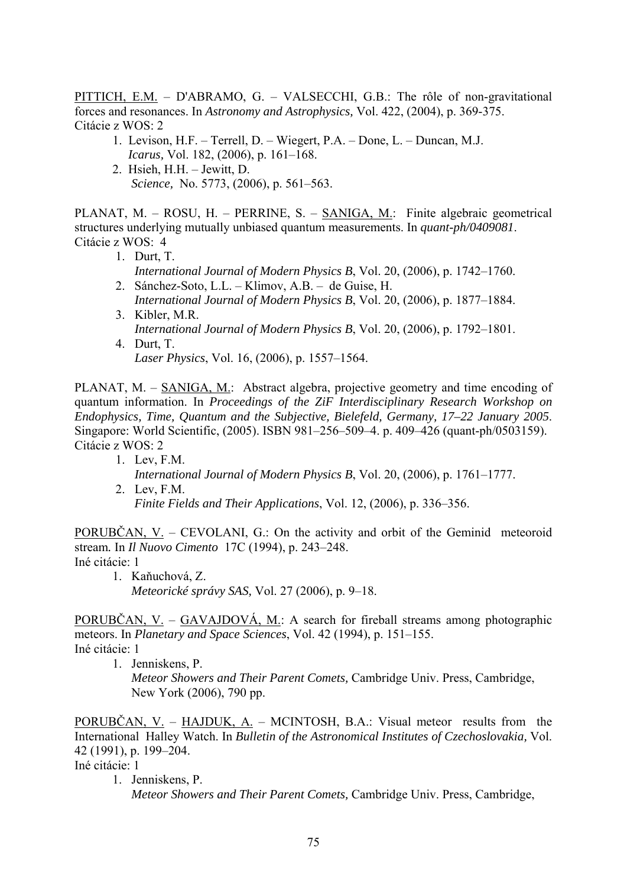PITTICH, E.M. – D'ABRAMO, G. – VALSECCHI, G.B.: The rôle of non-gravitational forces and resonances. In *Astronomy and Astrophysics,* Vol. 422, (2004), p. 369-375. Citácie z WOS: 2

- 1. Levison, H.F. Terrell, D. Wiegert, P.A. Done, L. Duncan, M.J. *Icarus,* Vol. 182, (2006), p. 161–168.
- 2. Hsieh, H.H. Jewitt, D. *Science,* No. 5773, (2006), p. 561–563.

PLANAT, M. – ROSU, H. – PERRINE, S. – SANIGA, M.: Finite algebraic geometrical structures underlying mutually unbiased quantum measurements. In *quant-ph/0409081*. Citácie z WOS: 4

- 1. Durt, T. *International Journal of Modern Physics B*, Vol. 20, (2006), p. 1742–1760.
- 2. Sánchez-Soto, L.L. Klimov, A.B. de Guise, H. *International Journal of Modern Physics B*, Vol. 20, (2006), p. 1877–1884.
- 3. Kibler, M.R. *International Journal of Modern Physics B*, Vol. 20, (2006), p. 1792–1801. 4. Durt, T.
	- *Laser Physics*, Vol. 16, (2006), p. 1557–1564.

PLANAT, M. – SANIGA, M.: Abstract algebra, projective geometry and time encoding of quantum information. In *Proceedings of the ZiF Interdisciplinary Research Workshop on Endophysics, Time, Quantum and the Subjective, Bielefeld, Germany, 17–22 January 2005*. Singapore: World Scientific, (2005). ISBN 981–256–509–4. p. 409–426 (quant-ph/0503159). Citácie z WOS: 2

 1. Lev, F.M. *International Journal of Modern Physics B*, Vol. 20, (2006), p. 1761–1777. 2. Lev, F.M.

 *Finite Fields and Their Applications*, Vol. 12, (2006), p. 336–356.

PORUBČAN, V. – CEVOLANI, G.: On the activity and orbit of the Geminid meteoroid stream*.* In *Il Nuovo Cimento* 17C (1994), p. 243–248. Iné citácie: 1

 1. Kaňuchová, Z. *Meteorické správy SAS,* Vol. 27 (2006), p. 9–18.

PORUBČAN, V. – GAVAJDOVÁ, M.: A search for fireball streams among photographic meteors. In *Planetary and Space Sciences*, Vol. 42 (1994), p. 151–155. Iné citácie: 1

1. Jenniskens, P.

 *Meteor Showers and Their Parent Comets,* Cambridge Univ. Press, Cambridge, New York (2006), 790 pp.

PORUBČAN, V. – HAJDUK, A. – MCINTOSH, B.A.: Visual meteor results from the International Halley Watch. In *Bulletin of the Astronomical Institutes of Czechoslovakia,* Vol. 42 (1991), p. 199–204.

Iné citácie: 1

1. Jenniskens, P.

*Meteor Showers and Their Parent Comets,* Cambridge Univ. Press, Cambridge,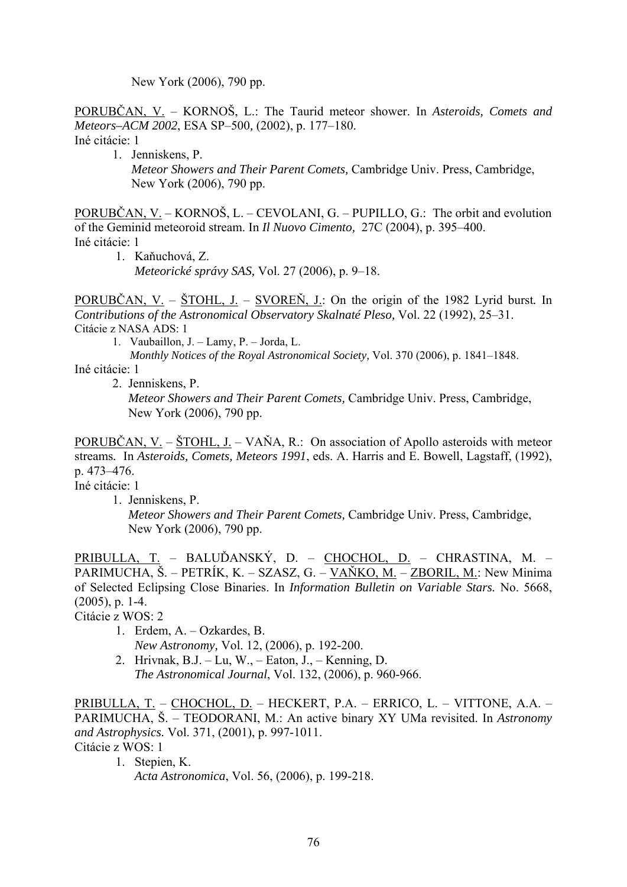New York (2006), 790 pp.

PORUBČAN, V. – KORNOŠ, L.: The Taurid meteor shower. In *Asteroids, Comets and Meteors–ACM 2002*, ESA SP–500*,* (2002), p. 177–180.

Iné citácie: 1

1. Jenniskens, P.

 *Meteor Showers and Their Parent Comets,* Cambridge Univ. Press, Cambridge, New York (2006), 790 pp.

PORUBČAN, V. – KORNOŠ, L. – CEVOLANI, G. – PUPILLO, G.: The orbit and evolution of the Geminid meteoroid stream. In *Il Nuovo Cimento,* 27C (2004), p. 395–400. Iné citácie: 1

 1. Kaňuchová, Z. *Meteorické správy SAS,* Vol. 27 (2006), p. 9–18.

PORUBČAN, V. – ŠTOHL, J. – SVOREŇ, J.: On the origin of the 1982 Lyrid burst*.* In *Contributions of the Astronomical Observatory Skalnaté Pleso,* Vol. 22 (1992), 25–31. Citácie z NASA ADS: 1

1. Vaubaillon, J. – Lamy, P. – Jorda, L.

 *Monthly Notices of the Royal Astronomical Society,* Vol. 370 (2006), p. 1841–1848.

Iné citácie: 1

2. Jenniskens, P. *Meteor Showers and Their Parent Comets,* Cambridge Univ. Press, Cambridge, New York (2006), 790 pp.

PORUBČAN, V. – ŠTOHL, J. – VAŇA, R.: On association of Apollo asteroids with meteor streams*.* In *Asteroids, Comets, Meteors 1991*, eds. A. Harris and E. Bowell, Lagstaff, (1992), p. 473–476.

Iné citácie: 1

1. Jenniskens, P.

 *Meteor Showers and Their Parent Comets,* Cambridge Univ. Press, Cambridge, New York (2006), 790 pp.

PRIBULLA, T. – BALUĎANSKÝ, D. – CHOCHOL, D. – CHRASTINA, M. – PARIMUCHA, Š. – PETRÍK, K. – SZASZ, G. – VAŇKO, M. – ZBORIL, M.: New Minima of Selected Eclipsing Close Binaries. In *Information Bulletin on Variable Stars.* No. 5668, (2005), p. 1-4.

Citácie z WOS: 2

- 1. Erdem, A. Ozkardes, B.  *New Astronomy,* Vol. 12, (2006), p. 192-200.
- 2. Hrivnak, B.J. Lu, W., Eaton, J., Kenning, D. *The Astronomical Journal*, Vol. 132, (2006), p. 960-966.

PRIBULLA, T. – CHOCHOL, D. – HECKERT, P.A. – ERRICO, L. – VITTONE, A.A. – PARIMUCHA, Š. – TEODORANI, M.: An active binary XY UMa revisited. In *Astronomy and Astrophysics.* Vol. 371, (2001), p. 997-1011. Citácie z WOS: 1

1. Stepien, K.  *Acta Astronomica*, Vol. 56, (2006), p. 199-218.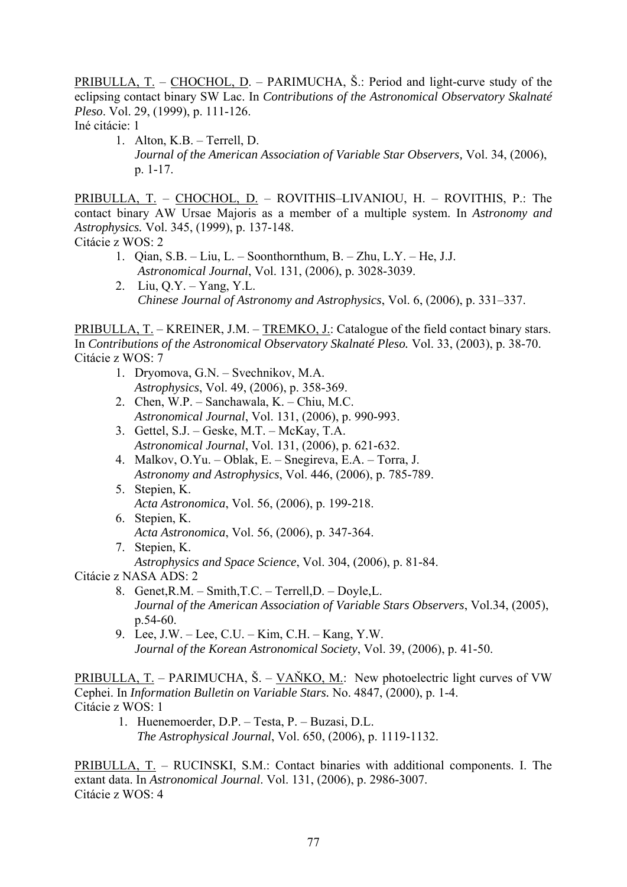PRIBULLA, T. – CHOCHOL, D. – PARIMUCHA, Š.: Period and light-curve study of the [eclipsing contact binary SW Lac.](http://www.ta3.sk/caosp/Eedition/Abstracts/1999/Vol_29/No_2/pp111-126_abstract.html) In *Contributions of the Astronomical Observatory Skalnaté Pleso*. Vol. 29, (1999), p. 111-126.

Iné citácie: 1

 1. Alton, K.B. – Terrell, D. *Journal of the American Association of Variable Star Observers,* Vol. 34, (2006), p. 1-17.

PRIBULLA, T. – CHOCHOL, D. – ROVITHIS–LIVANIOU, H. – ROVITHIS, P.: The contact binary AW Ursae Majoris as a member of a multiple system. In *Astronomy and Astrophysics.* Vol. 345, (1999), p. 137-148.

Citácie z WOS: 2

- 1. Qian, S.B. Liu, L. Soonthornthum, B. Zhu, L.Y. He, J.J.  *Astronomical Journal*, Vol. 131, (2006), p. 3028-3039.
- 2. Liu, Q.Y. Yang, Y.L.  *Chinese Journal of Astronomy and Astrophysics*, Vol. 6, (2006), p. 331–337.

PRIBULLA, T. – KREINER, J.M. – TREMKO, J.: Catalogue of the field contact binary stars. In *Contributions of the Astronomical Observatory Skalnaté Pleso.* Vol. 33, (2003), p. 38-70. Citácie z WOS: 7

- 1. Dryomova, G.N. Svechnikov, M.A. *Astrophysics*, Vol. 49, (2006), p. 358-369.
- 2. Chen, W.P. Sanchawala, K. Chiu, M.C. *Astronomical Journal*, Vol. 131, (2006), p. 990-993.
- 3. Gettel, S.J. Geske, M.T. McKay, T.A. *Astronomical Journal*, Vol. 131, (2006), p. 621-632.
- 4. Malkov, O.Yu. Oblak, E. Snegireva, E.A. Torra, J. *Astronomy and Astrophysics*, Vol. 446, (2006), p. 785-789.
- 5. Stepien, K. *Acta Astronomica*, Vol. 56, (2006), p. 199-218.
- 6. Stepien, K. *Acta Astronomica*, Vol. 56, (2006), p. 347-364.
- 7. Stepien, K.
	- *Astrophysics and Space Science*, Vol. 304, (2006), p. 81-84.

Citácie z NASA ADS: 2

- 8. Genet,R.M. Smith,T.C. Terrell,D. Doyle,L. *Journal of the American Association of Variable Stars Observers*, Vol.34, (2005), p.54-60.
- 9. Lee, J.W. Lee, C.U. Kim, C.H. Kang, Y.W. *Journal of the Korean Astronomical Society*, Vol. 39, (2006), p. 41-50.

PRIBULLA, T. – PARIMUCHA, Š. – VAŇKO, M.: New photoelectric light curves of VW Cephei. In *Information Bulletin on Variable Stars.* No. 4847, (2000), p. 1-4. Citácie z WOS: 1

- 1. Huenemoerder, D.P. Testa, P. Buzasi, D.L.
	- *The Astrophysical Journal*, Vol. 650, (2006), p. 1119-1132.

PRIBULLA, T. – RUCINSKI, S.M.: Contact binaries with additional components. I. The extant data. In *Astronomical Journal*. Vol. 131, (2006), p. 2986-3007. Citácie z WOS: 4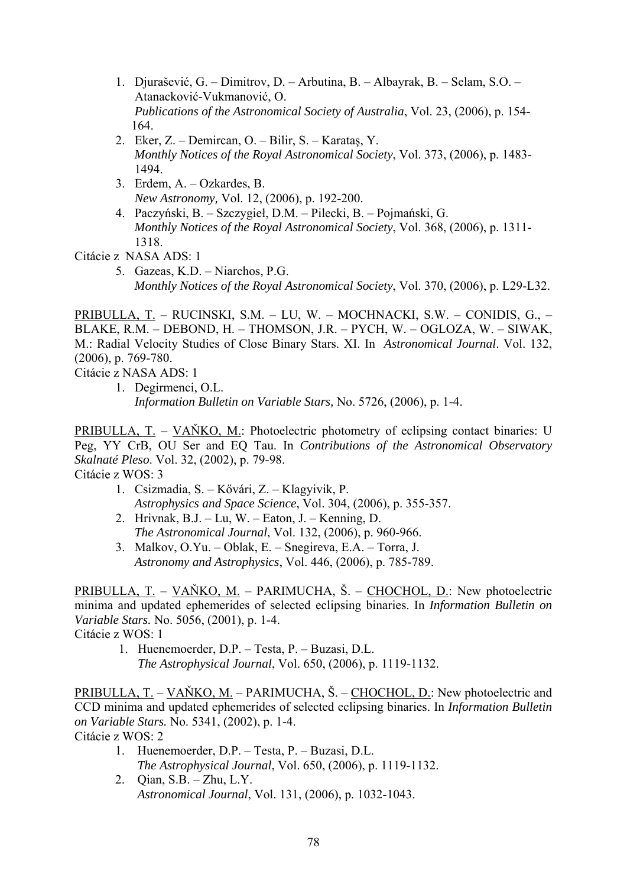- 1. Djurašević, G. Dimitrov, D. Arbutina, B. Albayrak, B. Selam, S.O. Atanacković-Vukmanović, O.  *Publications of the Astronomical Society of Australia*, Vol. 23, (2006), p. 154- 164.
- 2. Eker, Z. Demircan, O. Bilir, S. Karataş, Y.  *Monthly Notices of the Royal Astronomical Society*, Vol. 373, (2006), p. 1483- 1494.
- 3. Erdem, A. Ozkardes, B.  *New Astronomy,* Vol. 12, (2006), p. 192-200.
- 4. Paczyński, B. Szczygieł, D.M. Pilecki, B. Pojmański, G.  *Monthly Notices of the Royal Astronomical Society*, Vol. 368, (2006), p. 1311- 1318.

Citácie z NASA ADS: 1

5. Gazeas, K.D. – Niarchos, P.G.  *Monthly Notices of the Royal Astronomical Society*, Vol. 370, (2006), p. L29-L32.

PRIBULLA, T. – RUCINSKI, S.M. – LU, W. – MOCHNACKI, S.W. – CONIDIS, G., – BLAKE, R.M. – DEBOND, H. – THOMSON, J.R. – PYCH, W. – OGLOZA, W. – SIWAK, M.: Radial Velocity Studies of Close Binary Stars. XI. In *Astronomical Journal*. Vol. 132, (2006), p. 769-780.

Citácie z NASA ADS: 1

1. Degirmenci, O.L. *Information Bulletin on Variable Stars,* No. 5726, (2006), p. 1-4.

PRIBULLA, T. – VAŇKO, M.: Photoelectric photometry of eclipsing contact binaries: U Peg, YY CrB, OU Ser and EQ Tau. In *Contributions of the Astronomical Observatory Skalnaté Pleso*. Vol. 32, (2002), p. 79-98.

Citácie z WOS: 3

- 1. Csizmadia, S. Kővári, Z. Klagyivik, P. *Astrophysics and Space Science*, Vol. 304, (2006), p. 355-357.
- 2. Hrivnak, B.J. Lu, W. Eaton, J. Kenning, D. *The Astronomical Journal*, Vol. 132, (2006), p. 960-966.
- 3. Malkov, O.Yu. Oblak, E. Snegireva, E.A. Torra, J.  *Astronomy and Astrophysics*, Vol. 446, (2006), p. 785-789.

PRIBULLA, T. – VAŇKO, M. – PARIMUCHA, Š. – CHOCHOL, D.: New photoelectric minima and updated ephemerides of selected eclipsing binaries. In *Information Bulletin on Variable Stars.* No. 5056, (2001), p. 1-4.

Citácie z WOS: 1

 1. Huenemoerder, D.P. – Testa, P. – Buzasi, D.L. *The Astrophysical Journal*, Vol. 650, (2006), p. 1119-1132.

PRIBULLA, T. – VAŇKO, M. – PARIMUCHA, Š. – CHOCHOL, D.: New photoelectric and CCD minima and updated ephemerides of selected eclipsing binaries. In *Information Bulletin on Variable Stars.* No. 5341, (2002), p. 1-4. Citácie z WOS: 2

- 1. Huenemoerder, D.P. Testa, P. Buzasi, D.L. *The Astrophysical Journal*, Vol. 650, (2006), p. 1119-1132.
- 2. Qian, S.B. Zhu, L.Y. *Astronomical Journal*, Vol. 131, (2006), p. 1032-1043.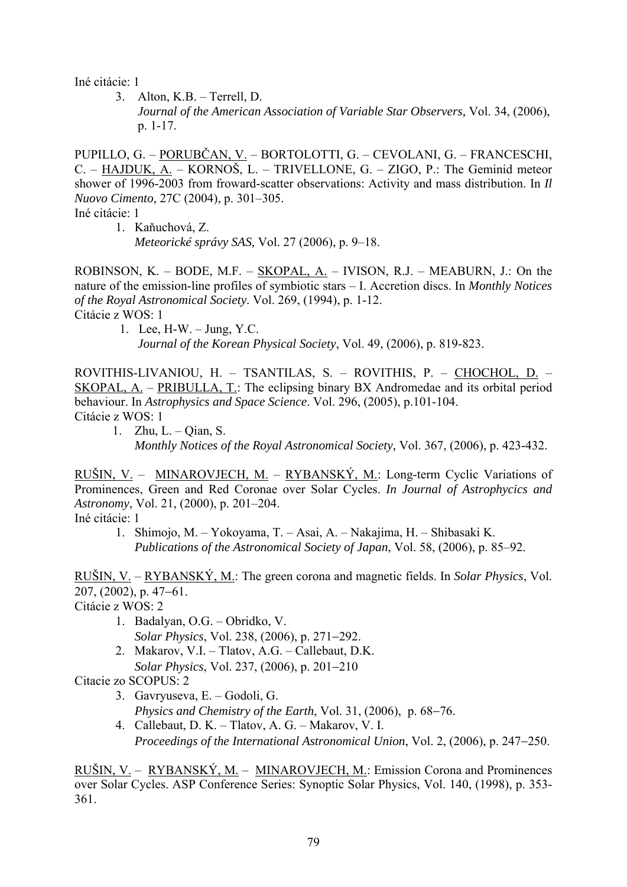Iné citácie: 1

 3. Alton, K.B. – Terrell, D. *Journal of the American Association of Variable Star Observers,* Vol. 34, (2006), p. 1-17.

PUPILLO, G. – PORUBČAN, V. – BORTOLOTTI, G. – CEVOLANI, G. – FRANCESCHI, C. – HAJDUK, A. – KORNOŠ, L. – TRIVELLONE, G. – ZIGO, P.: The Geminid meteor shower of 1996-2003 from froward-scatter observations: Activity and mass distribution. In *Il Nuovo Cimento,* 27C (2004), p. 301–305.

Iné citácie: 1

1. Kaňuchová, Z.

*Meteorické správy SAS,* Vol. 27 (2006), p. 9–18.

ROBINSON, K. – BODE, M.F. – SKOPAL, A. – IVISON, R.J. – MEABURN, J.: On the nature of the emission-line profiles of symbiotic stars – I. Accretion discs. In *Monthly Notices of the Royal Astronomical Society*. Vol. 269, (1994), p. 1-12. Citácie z WOS: 1

 1. Lee, H-W. – Jung, Y.C. *Journal of the Korean Physical Society*, Vol. 49, (2006), p. 819-823.

ROVITHIS-LIVANIOU, H. – TSANTILAS, S. – ROVITHIS, P. – CHOCHOL, D. – SKOPAL, A. – PRIBULLA, T.: The eclipsing binary BX Andromedae and its orbital period behaviour. In *Astrophysics and Space Science*. Vol. 296, (2005), p.101-104. Citácie z WOS: 1

 1. Zhu, L. – Qian, S.  *Monthly Notices of the Royal Astronomical Society,* Vol. 367, (2006), p. 423-432.

RUŠIN, V. – MINAROVJECH, M. – RYBANSKÝ, M.: Long-term Cyclic Variations of Prominences, Green and Red Coronae over Solar Cycles. *In Journal of Astrophycics and Astronomy*, Vol. 21, (2000), p. 201–204.

Iné citácie: 1

 1. Shimojo, M. – Yokoyama, T. – Asai, A. – Nakajima, H. – Shibasaki K. *Publications of the Astronomical Society of Japan*, Vol. 58, (2006), p. 85–92.

RUŠIN, V. – RYBANSKÝ, M.: The green corona and magnetic fields. In *Solar Physics*, Vol. 207, (2002), p. 47−61.

Citácie z WOS: 2

- 1. Badalyan, O.G. Obridko, V. *Solar Physics*, Vol. 238, (2006), p. 271−292.
- 2. Makarov, V.I. Tlatov, A.G. Callebaut, D.K. *Solar Physics*, Vol. 237, (2006), p. 201−210

Citacie zo SCOPUS: 2

- 3. Gavryuseva, E. Godoli, G. *Physics and Chemistry of the Earth*, Vol. 31, (2006), p. 68−76.
- 4. Callebaut, D. K. Tlatov, A. G. Makarov, V. I. *Proceedings of the International Astronomical Union*, Vol. 2, (2006), p. 247−250.

RUŠIN, V. – RYBANSKÝ, M. – MINAROVJECH, M.: Emission Corona and Prominences over Solar Cycles. ASP Conference Series: Synoptic Solar Physics, Vol. 140, (1998), p. 353- 361.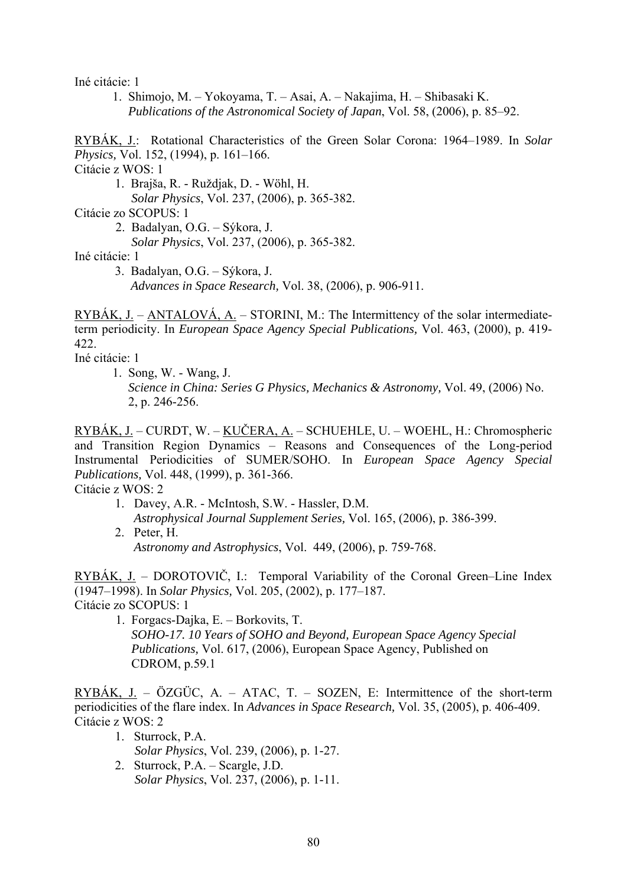Iné citácie: 1

 1. Shimojo, M. – Yokoyama, T. – Asai, A. – Nakajima, H. – Shibasaki K. *Publications of the Astronomical Society of Japan*, Vol. 58, (2006), p. 85–92.

RYBÁK, J.: Rotational Characteristics of the Green Solar Corona: 1964–1989. In *Solar Physics,* Vol. 152, (1994), p. 161–166.

Citácie z WOS: 1

1. Brajša, R. - Ruždjak, D. - Wöhl, H.

*Solar Physics*, Vol. 237, (2006), p. 365-382.

Citácie zo SCOPUS: 1

2. Badalyan, O.G. – Sýkora, J.

*Solar Physics*, Vol. 237, (2006), p. 365-382.

Iné citácie: 1

 3. Badalyan, O.G. – Sýkora, J.  *Advances in Space Research,* Vol. 38, (2006), p. 906-911.

RYBÁK, J. – ANTALOVÁ, A. – STORINI, M.: The Intermittency of the solar intermediateterm periodicity. In *European Space Agency Special Publications,* Vol. 463, (2000), p. 419- 422.

Iné citácie: 1

 1. Song, W. - Wang, J. *Science in China: Series G Physics, Mechanics & Astronomy,* Vol. 49, (2006) No. 2, p. 246-256.

RYBÁK, J. – CURDT, W. – KUČERA, A. – SCHUEHLE, U. – WOEHL, H.: Chromospheric and Transition Region Dynamics – Reasons and Consequences of the Long-period Instrumental Periodicities of SUMER/SOHO. In *European Space Agency Special Publications,* Vol. 448, (1999), p. 361-366.

Citácie z WOS: 2

 1. Davey, A.R. - McIntosh, S.W. - Hassler, D.M.  *Astrophysical Journal Supplement Series,* Vol. 165, (2006), p. 386-399. 2. Peter, H.

 *Astronomy and Astrophysics*, Vol. 449, (2006), p. 759-768.

RYBÁK, J. – DOROTOVIČ, I.: Temporal Variability of the Coronal Green–Line Index (1947–1998). In *Solar Physics,* Vol. 205, (2002), p. 177–187. Citácie zo SCOPUS: 1

 1. Forgacs-Dajka, E. – Borkovits, T. *SOHO-17. 10 Years of SOHO and Beyond, European Space Agency Special Publications,* Vol. 617, (2006), European Space Agency, Published on CDROM, p.59.1

RYBÁK, J. – ÖZGÜC, A. – ATAC, T. – SOZEN, E: Intermittence of the short-term periodicities of the flare index. In *Advances in Space Research,* Vol. 35, (2005), p. 406-409. Citácie z WOS: 2

- 1. Sturrock, P.A. *Solar Physics*, Vol. 239, (2006), p. 1-27.
- 2. Sturrock, P.A. Scargle, J.D. *Solar Physics*, Vol. 237, (2006), p. 1-11.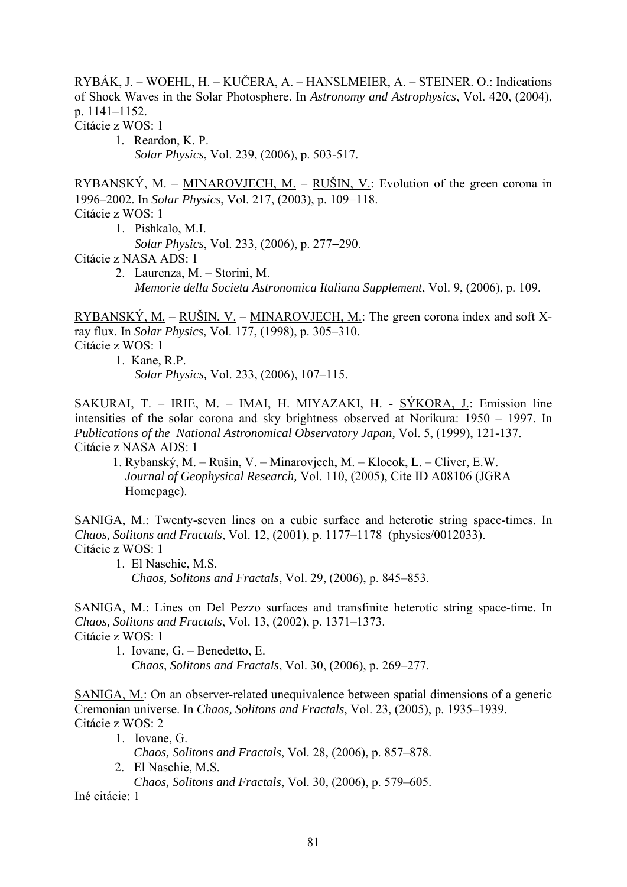RYBÁK, J. – WOEHL, H. – KUČERA, A. – HANSLMEIER, A. – STEINER. O.: Indications of Shock Waves in the Solar Photosphere. In *Astronomy and Astrophysics*, Vol. 420, (2004), p. 1141–1152. Citácie z WOS: 1

 1. Reardon, K. P. *Solar Physics*, Vol. 239, (2006), p. 503-517.

RYBANSKÝ, M. – MINAROVJECH, M. – RUŠIN, V.: Evolution of the green corona in 1996–2002. In *Solar Physics*, Vol. 217, (2003), p. 109−118. Citácie z WOS: 1

- 1. Pishkalo, M.I.
	- *Solar Physics*, Vol. 233, (2006), p. 277−290.

Citácie z NASA ADS: 1

 2. Laurenza, M. – Storini, M. *Memorie della Societa Astronomica Italiana Supplement*, Vol. 9, (2006), p. 109.

RYBANSKÝ, M. – RUŠIN, V. – MINAROVJECH, M.: The green corona index and soft Xray flux. In *Solar Physics*, Vol. 177, (1998), p. 305–310. Citácie z WOS: 1

1. Kane, R.P.  *Solar Physics,* Vol. 233, (2006), 107–115.

SAKURAI, T. – IRIE, M. – IMAI, H. MIYAZAKI, H. - SÝKORA, J.: Emission line intensities of the solar corona and sky brightness observed at Norikura: 1950 – 1997. In *Publications of the National Astronomical Observatory Japan,* Vol. 5, (1999), 121-137. Citácie z NASA ADS: 1

 1. Rybanský, M. – Rušin, V. – Minarovjech, M. – Klocok, L. – Cliver, E.W. *Journal of Geophysical Research,* Vol. 110, (2005), Cite ID A08106 (JGRA Homepage).

SANIGA, M.: Twenty-seven lines on a cubic surface and heterotic string space-times. In *Chaos, Solitons and Fractals*, Vol. 12, (2001), p. 1177–1178 (physics/0012033). Citácie z WOS: 1

 1. El Naschie, M.S. *Chaos, Solitons and Fractals*, Vol. 29, (2006), p. 845–853.

SANIGA, M.: Lines on Del Pezzo surfaces and transfinite heterotic string space-time. In *Chaos, Solitons and Fractals*, Vol. 13, (2002), p. 1371–1373. Citácie z WOS: 1

- 1. Iovane, G. Benedetto, E.
	- *Chaos, Solitons and Fractals*, Vol. 30, (2006), p. 269–277.

SANIGA, M.: On an observer-related unequivalence between spatial dimensions of a generic Cremonian universe. In *Chaos, Solitons and Fractals*, Vol. 23, (2005), p. 1935–1939. Citácie z WOS: 2

- 1. Iovane, G. *Chaos, Solitons and Fractals*, Vol. 28, (2006), p. 857–878.
- 2. El Naschie, M.S. *Chaos, Solitons and Fractals*, Vol. 30, (2006), p. 579–605.

Iné citácie: 1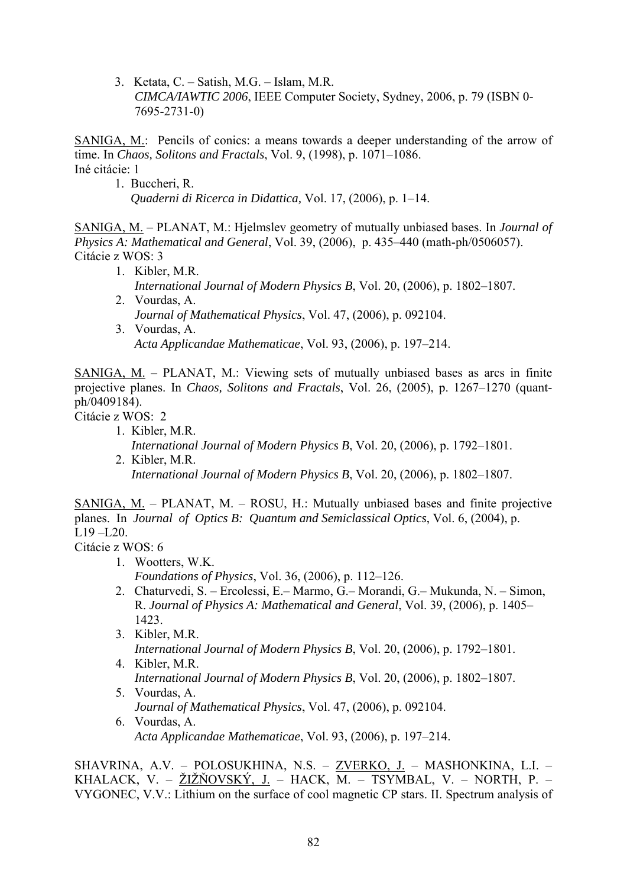3. Ketata, C. – Satish, M.G. – Islam, M.R. *CIMCA/IAWTIC 2006*, IEEE Computer Society, Sydney, 2006, p. 79 (ISBN 0- 7695-2731-0)

SANIGA, M.: Pencils of conics: a means towards a deeper understanding of the arrow of time. In *Chaos, Solitons and Fractals*, Vol. 9, (1998), p. 1071–1086. Iné citácie: 1

 1. Buccheri, R. *Quaderni di Ricerca in Didattica,* Vol. 17, (2006), p. 1–14.

SANIGA, M. – PLANAT, M.: Hjelmslev geometry of mutually unbiased bases. In *Journal of Physics A: Mathematical and General*, Vol. 39, (2006), p. 435–440 (math-ph/0506057). Citácie z WOS: 3

- 1. Kibler, M.R. *International Journal of Modern Physics B*, Vol. 20, (2006), p. 1802–1807.
- 2. Vourdas, A.  *Journal of Mathematical Physics*, Vol. 47, (2006), p. 092104.
- 3. Vourdas, A. *Acta Applicandae Mathematicae*, Vol. 93, (2006), p. 197–214.

SANIGA, M. – PLANAT, M.: Viewing sets of mutually unbiased bases as arcs in finite projective planes. In *Chaos, Solitons and Fractals*, Vol. 26, (2005), p. 1267–1270 (quantph/0409184).

Citácie z WOS: 2

- 1. Kibler, M.R. *International Journal of Modern Physics B*, Vol. 20, (2006), p. 1792–1801. 2. Kibler, M.R.
	- *International Journal of Modern Physics B*, Vol. 20, (2006), p. 1802–1807.

SANIGA, M. – PLANAT, M. – ROSU, H.: Mutually unbiased bases and finite projective planes. In *Journal of Optics B: Quantum and Semiclassical Optics*, Vol. 6, (2004), p.  $L19 - L20$ .

Citácie z WOS: 6

- 1. Wootters, W.K.  *Foundations of Physics*, Vol. 36, (2006), p. 112–126.
- 2. Chaturvedi, S. Ercolessi, E.– Marmo, G.– Morandi, G.– Mukunda, N. Simon, R. *Journal of Physics A: Mathematical and General*, Vol. 39, (2006), p. 1405– 1423.
- 3. Kibler, M.R. *International Journal of Modern Physics B*, Vol. 20, (2006), p. 1792–1801.
- 4. Kibler, M.R. *International Journal of Modern Physics B*, Vol. 20, (2006), p. 1802–1807.
- 5. Vourdas, A.  *Journal of Mathematical Physics*, Vol. 47, (2006), p. 092104.
- 6. Vourdas, A.  *Acta Applicandae Mathematicae*, Vol. 93, (2006), p. 197–214.

SHAVRINA, A.V. – POLOSUKHINA, N.S. – ZVERKO, J. – MASHONKINA, L.I. – KHALACK, V. – ŽIŽŇOVSKÝ, J. – HACK, M. – TSYMBAL, V. – NORTH, P. – VYGONEC, V.V.: Lithium on the surface of cool magnetic CP stars. II. Spectrum analysis of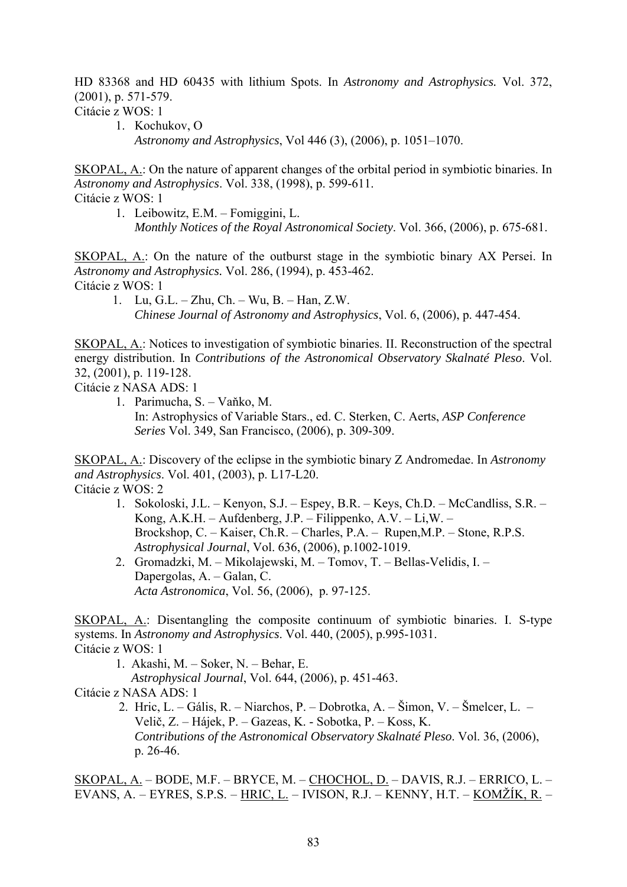HD 83368 and HD 60435 with lithium Spots. In *Astronomy and Astrophysics.* Vol. 372, (2001), p. 571-579.

Citácie z WOS: 1

 1. Kochukov, O *Astronomy and Astrophysics*, Vol 446 (3), (2006), p. 1051–1070.

SKOPAL, A.: On the nature of apparent changes of the orbital period in symbiotic binaries. In *Astronomy and Astrophysics*. Vol. 338, (1998), p. 599-611. Citácie z WOS: 1

 1. Leibowitz, E.M. – Fomiggini, L. *Monthly Notices of the Royal Astronomical Society*. Vol. 366, (2006), p. 675-681.

SKOPAL, A.: On the nature of the outburst stage in the symbiotic binary AX Persei. In *Astronomy and Astrophysics.* Vol. 286, (1994), p. 453-462. Citácie z WOS: 1

1. Lu, G.L. – Zhu, Ch. – Wu, B. – Han, Z.W.  *Chinese Journal of Astronomy and Astrophysics*, Vol. 6, (2006), p. 447-454.

SKOPAL, A.: Notices to investigation of symbiotic binaries. II. Reconstruction of the spectral energy distribution. In *Contributions of the Astronomical Observatory Skalnaté Pleso*. Vol. 32, (2001), p. 119-128.

Citácie z NASA ADS: 1

 1. Parimucha, S. – Vaňko, M. In: Astrophysics of Variable Stars., ed. C. Sterken, C. Aerts, *ASP Conference Series* Vol. 349, San Francisco, (2006), p. 309-309.

SKOPAL, A.: Discovery of the eclipse in the symbiotic binary Z Andromedae. In *Astronomy and Astrophysics*. Vol. 401, (2003), p. L17-L20. Citácie z WOS: 2

- 1. Sokoloski, J.L. Kenyon, S.J. Espey, B.R. Keys, Ch.D. McCandliss, S.R. Kong, A.K.H. – Aufdenberg, J.P. – Filippenko, A.V. – Li,W. – Brockshop, C. – Kaiser, Ch.R. – Charles, P.A. – Rupen,M.P. – Stone, R.P.S.  *Astrophysical Journal*, Vol. 636, (2006), p.1002-1019.
- 2. Gromadzki, M. Mikolajewski, M. Tomov, T. Bellas-Velidis, I. Dapergolas, A. – Galan, C.  *Acta Astronomica*, Vol. 56, (2006), p. 97-125.

SKOPAL, A.: Disentangling the composite continuum of symbiotic binaries. I. S-type systems. In *Astronomy and Astrophysics*. Vol. 440, (2005), p.995-1031. Citácie z WOS: 1

1. Akashi, M. – Soker, N. – Behar, E.

*Astrophysical Journal*, Vol. 644, (2006), p. 451-463.

Citácie z NASA ADS: 1

 2. Hric, L. – Gális, R. – Niarchos, P. – Dobrotka, A. – Šimon, V. – Šmelcer, L. – Velič, Z. – Hájek, P. – Gazeas, K. - Sobotka, P. – Koss, K.  *Contributions of the Astronomical Observatory Skalnaté Pleso*. Vol. 36, (2006), p. 26-46.

SKOPAL, A. – BODE, M.F. – BRYCE, M. – CHOCHOL, D. – DAVIS, R.J. – ERRICO, L. – EVANS, A. – EYRES, S.P.S. – HRIC, L. – IVISON, R.J. – KENNY, H.T. – KOMŽÍK, R. –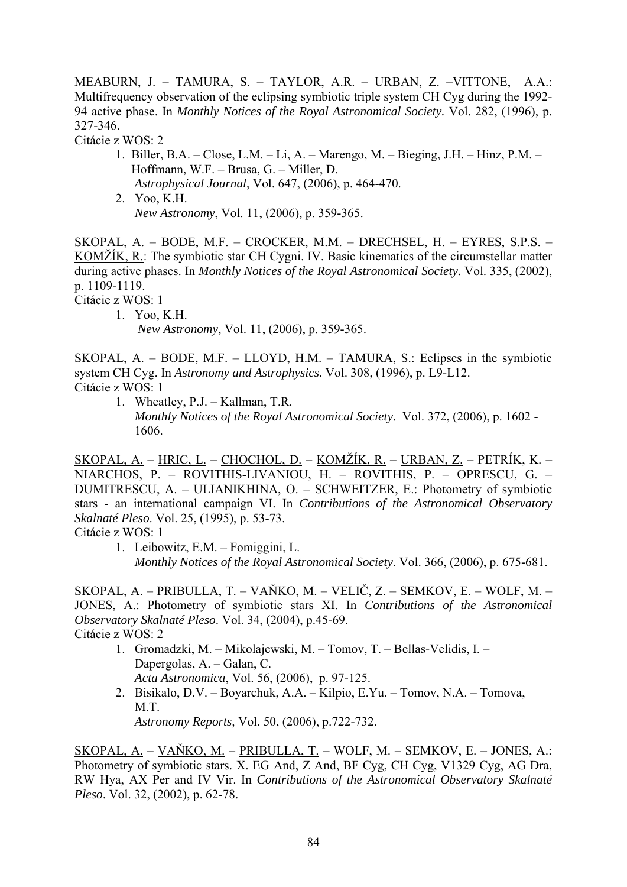MEABURN, J. – TAMURA, S. – TAYLOR, A.R. – URBAN, Z. –VITTONE, A.A.: Multifrequency observation of the eclipsing symbiotic triple system CH Cyg during the 1992- 94 active phase. In *Monthly Notices of the Royal Astronomical Society.* Vol. 282, (1996), p. 327-346.

Citácie z WOS: 2

- 1. Biller, B.A. Close, L.M. Li, A. Marengo, M. Bieging, J.H. Hinz, P.M. Hoffmann, W.F. – Brusa, G. – Miller, D. *Astrophysical Journal*, Vol. 647, (2006), p. 464-470. 2. Yoo, K.H.
	- *New Astronomy*, Vol. 11, (2006), p. 359-365.

SKOPAL, A. – BODE, M.F. – CROCKER, M.M. – DRECHSEL, H. – EYRES, S.P.S. – KOMŽÍK, R.: The symbiotic star CH Cygni. IV. Basic kinematics of the circumstellar matter during active phases. In *Monthly Notices of the Royal Astronomical Society.* Vol. 335, (2002), p. 1109-1119.

Citácie z WOS: 1

 1. Yoo, K.H. *New Astronomy*, Vol. 11, (2006), p. 359-365.

SKOPAL, A. – BODE, M.F. – LLOYD, H.M. – TAMURA, S.: Eclipses in the symbiotic system CH Cyg. In *Astronomy and Astrophysics*. Vol. 308, (1996), p. L9-L12. Citácie z WOS: 1

1. Wheatley, P.J. – Kallman, T.R.

 *Monthly Notices of the Royal Astronomical Society*. Vol. 372, (2006), p. 1602 - 1606.

SKOPAL, A. – HRIC, L. – CHOCHOL, D. – KOMŽÍK, R. – URBAN, Z. – PETRÍK, K. – NIARCHOS, P. – ROVITHIS-LIVANIOU, H. – ROVITHIS, P. – OPRESCU, G. – DUMITRESCU, A. – ULIANIKHINA, O. – SCHWEITZER, E.: Photometry of symbiotic stars - an international campaign VI. In *Contributions of the Astronomical Observatory Skalnaté Pleso*. Vol. 25, (1995), p. 53-73.

Citácie z WOS: 1

SKOPAL, A. – PRIBULLA, T. – VAŇKO, M. – VELIČ, Z. – SEMKOV, E. – WOLF, M. – JONES, A.: Photometry of symbiotic stars XI. In *Contributions of the Astronomical Observatory Skalnaté Pleso*. Vol. 34, (2004), p.45-69. Citácie z WOS: 2

- 1. Gromadzki, M. Mikolajewski, M. Tomov, T. Bellas-Velidis, I. Dapergolas, A. – Galan, C.  *Acta Astronomica*, Vol. 56, (2006), p. 97-125.
- 2. Bisikalo, D.V. Boyarchuk, A.A. Kilpio, E.Yu. Tomov, N.A. Tomova, M.T.

 *Astronomy Reports,* Vol. 50, (2006), p.722-732.

SKOPAL, A. – VAŇKO, M. – PRIBULLA, T. – WOLF, M. – SEMKOV, E. – JONES, A.: Photometry of symbiotic stars. X. EG And, Z And, BF Cyg, CH Cyg, V1329 Cyg, AG Dra, RW Hya, AX Per and IV Vir. In *Contributions of the Astronomical Observatory Skalnaté Pleso*. Vol. 32, (2002), p. 62-78.

 <sup>1.</sup> Leibowitz, E.M. – Fomiggini, L. *Monthly Notices of the Royal Astronomical Society*. Vol. 366, (2006), p. 675-681.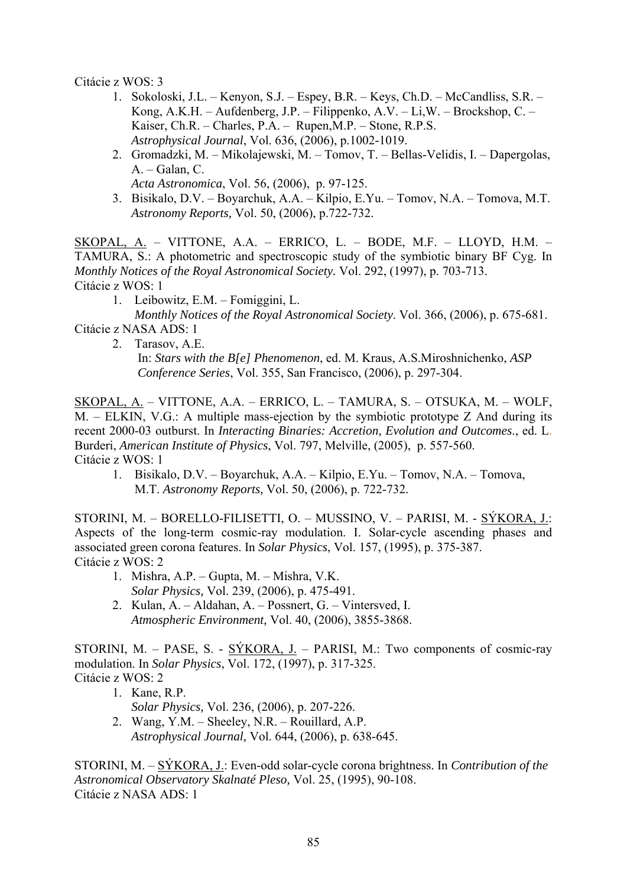Citácie z WOS: 3

- 1. Sokoloski, J.L. Kenyon, S.J. Espey, B.R. Keys, Ch.D. McCandliss, S.R. Kong, A.K.H. – Aufdenberg, J.P. – Filippenko, A.V. – Li,W. – Brockshop, C. – Kaiser, Ch.R. – Charles, P.A. – Rupen,M.P. – Stone, R.P.S.  *Astrophysical Journal*, Vol. 636, (2006), p.1002-1019.
- 2. Gromadzki, M. Mikolajewski, M. Tomov, T. Bellas-Velidis, I. Dapergolas, A. – Galan, C.
	- *Acta Astronomica*, Vol. 56, (2006), p. 97-125.
- 3. Bisikalo, D.V. Boyarchuk, A.A. Kilpio, E.Yu. Tomov, N.A. Tomova, M.T.  *Astronomy Reports,* Vol. 50, (2006), p.722-732.

SKOPAL, A. – VITTONE, A.A. – ERRICO, L. – BODE, M.F. – LLOYD, H.M. – TAMURA, S.: A photometric and spectroscopic study of the symbiotic binary BF Cyg. In *Monthly Notices of the Royal Astronomical Society.* Vol. 292, (1997), p. 703-713. Citácie z WOS: 1

1. Leibowitz, E.M. – Fomiggini, L.

 *Monthly Notices of the Royal Astronomical Society*. Vol. 366, (2006), p. 675-681. Citácie z NASA ADS: 1

2. Tarasov, A.E.

 In: *Stars with the B[e] Phenomenon*, ed. M. Kraus, A.S.Miroshnichenko, *ASP Conference Series*, Vol. 355, San Francisco, (2006), p. 297-304.

SKOPAL, A. – VITTONE, A.A. – ERRICO, L. – TAMURA, S. – OTSUKA, M. – WOLF, M. – ELKIN, V.G.: A multiple mass-ejection by the symbiotic prototype Z And during its recent 2000-03 outburst. In *Interacting Binaries: Accretion, Evolution and Outcomes*., ed. L. Burderi, *American Institute of Physics*, Vol. 797, Melville, (2005), p. 557-560. Citácie z WOS: 1

 1. Bisikalo, D.V. – Boyarchuk, A.A. – Kilpio, E.Yu. – Tomov, N.A. – Tomova, M.T. *Astronomy Reports,* Vol. 50, (2006), p. 722-732.

STORINI, M. – BORELLO-FILISETTI, O. – MUSSINO, V. – PARISI, M. - SÝKORA, J.: Aspects of the long-term cosmic-ray modulation. I. Solar-cycle ascending phases and associated green corona features. In *Solar Physics*, Vol. 157, (1995), p. 375-387. Citácie z WOS: 2

- 1. Mishra, A.P. Gupta, M. Mishra, V.K. *Solar Physics,* Vol. 239, (2006), p. 475-491.
- 2. Kulan, A. Aldahan, A. Possnert, G. Vintersved, I. *Atmospheric Environment,* Vol. 40, (2006), 3855-3868.

STORINI, M. – PASE, S. - SÝKORA, J. – PARISI, M.: Two components of cosmic-ray modulation. In *Solar Physics*, Vol. 172, (1997), p. 317-325. Citácie z WOS: 2

- 1. Kane, R.P. *Solar Physics,* Vol. 236, (2006), p. 207-226.
- 2. Wang, Y.M. Sheeley, N.R. Rouillard, A.P. *Astrophysical Journal,* Vol. 644, (2006), p. 638-645.

STORINI, M. – SÝKORA, J.: Even-odd solar-cycle corona brightness. In *Contribution of the Astronomical Observatory Skalnaté Pleso,* Vol. 25, (1995), 90-108. Citácie z NASA ADS: 1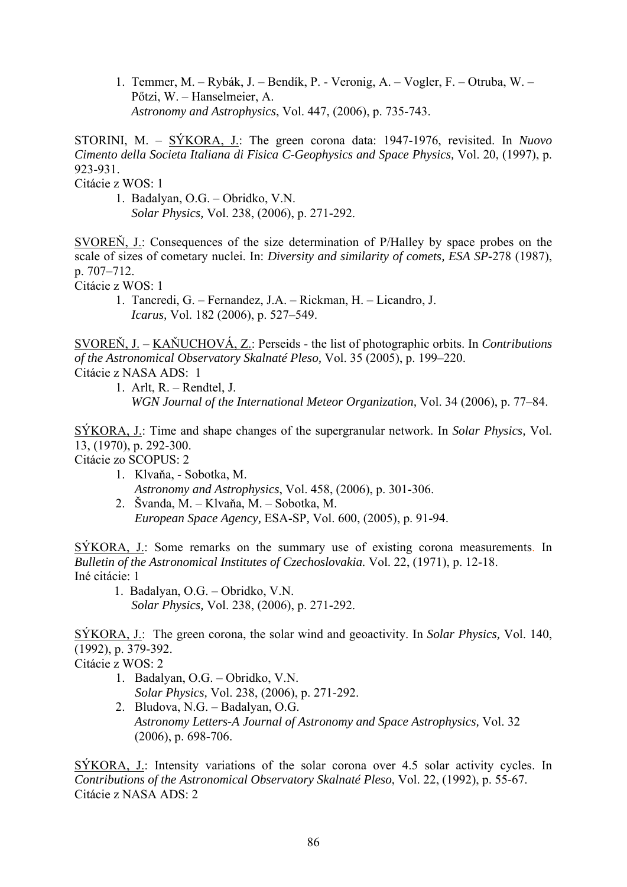1. Temmer, M. – Rybák, J. – Bendík, P. - Veronig, A. – Vogler, F. – Otruba, W. – Pőtzi, W. – Hanselmeier, A. *Astronomy and Astrophysics*, Vol. 447, (2006), p. 735-743.

STORINI, M. – SÝKORA, J.: The green corona data: 1947-1976, revisited. In *Nuovo Cimento della Societa Italiana di Fisica C-Geophysics and Space Physics,* Vol. 20, (1997), p. 923-931.

Citácie z WOS: 1

 1. Badalyan, O.G. – Obridko, V.N. *Solar Physics,* Vol. 238, (2006), p. 271-292.

SVOREŇ, J.: Consequences of the size determination of P/Halley by space probes on the scale of sizes of cometary nuclei. In: *Diversity and similarity of comets, ESA SP***-**278 (1987), p. 707–712.

Citácie z WOS: 1

 1. Tancredi, G. – Fernandez, J.A. – Rickman, H. – Licandro, J.  *Icarus,* Vol. 182 (2006), p. 527–549.

SVOREŇ, J. – KAŇUCHOVÁ, Z.: Perseids - the list of photographic orbits. In *Contributions of the Astronomical Observatory Skalnaté Pleso,* Vol. 35 (2005), p. 199–220. Citácie z NASA ADS: 1

 1. Arlt, R. – Rendtel, J. *WGN Journal of the International Meteor Organization,* Vol. 34 (2006), p. 77–84.

SÝKORA, J.: Time and shape changes of the supergranular network. In *Solar Physics,* Vol. 13, (1970), p. 292-300.

Citácie zo SCOPUS: 2

- 1. Klvaňa, Sobotka, M. *Astronomy and Astrophysics*, Vol. 458, (2006), p. 301-306.
- 2. Švanda, M. Klvaňa, M. Sobotka, M. *European Space Agency,* ESA-SP*,* Vol. 600, (2005), p. 91-94.

SÝKORA, J.: Some remarks on the summary use of existing corona measurements. In *Bulletin of the Astronomical Institutes of Czechoslovakia.* Vol. 22, (1971), p. 12-18. Iné citácie: 1

 1. Badalyan, O.G. – Obridko, V.N. *Solar Physics,* Vol. 238, (2006), p. 271-292.

SÝKORA, J.: The green corona, the solar wind and geoactivity. In *Solar Physics,* Vol. 140, (1992), p. 379-392.

Citácie z WOS: 2

- 1. Badalyan, O.G. Obridko, V.N. *Solar Physics,* Vol. 238, (2006), p. 271-292.
- 2. Bludova, N.G. Badalyan, O.G. *Astronomy Letters-A Journal of Astronomy and Space Astrophysics,* Vol. 32 (2006), p. 698-706.

SÝKORA, J.: Intensity variations of the solar corona over 4.5 solar activity cycles. In *Contributions of the Astronomical Observatory Skalnaté Pleso*, Vol. 22, (1992), p. 55-67. Citácie z NASA ADS: 2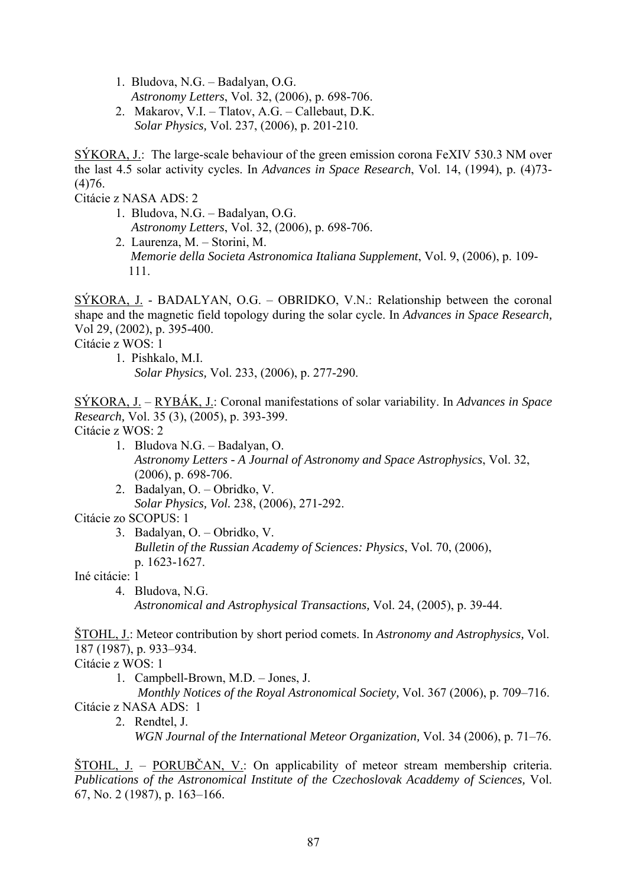1. Bludova, N.G. – Badalyan, O.G.

*Astronomy Letters*, Vol. 32, (2006), p. 698-706.

 2. Makarov, V.I. – Tlatov, A.G. – Callebaut, D.K. *Solar Physics,* Vol. 237, (2006), p. 201-210.

SÝKORA, J.: The large-scale behaviour of the green emission corona FeXIV 530.3 NM over the last 4.5 solar activity cycles. In *Advances in Space Research*, Vol. 14, (1994), p. (4)73- (4)76.

Citácie z NASA ADS: 2

- 1. Bludova, N.G. Badalyan, O.G. *Astronomy Letters*, Vol. 32, (2006), p. 698-706.
- 2. Laurenza, M. Storini, M. *Memorie della Societa Astronomica Italiana Supplement*, Vol. 9, (2006), p. 109- 111.

SÝKORA, J. - BADALYAN, O.G. – OBRIDKO, V.N.: Relationship between the coronal shape and the magnetic field topology during the solar cycle. In *Advances in Space Research,*  Vol 29, (2002), p. 395-400.

Citácie z WOS: 1

 1. Pishkalo, M.I. *Solar Physics,* Vol. 233, (2006), p. 277-290.

SÝKORA, J. – RYBÁK, J.: Coronal manifestations of solar variability. In *Advances in Space Research,* Vol. 35 (3), (2005), p. 393-399. Citácie z WOS: 2

- 1. Bludova N.G. Badalyan, O.  *Astronomy Letters - A Journal of Astronomy and Space Astrophysics*, Vol. 32, (2006), p. 698-706.
- 2. Badalyan, O. Obridko, V. *Solar Physics, Vol.* 238, (2006), 271-292.

Citácie zo SCOPUS: 1

 3. Badalyan, O. – Obridko, V. *Bulletin of the Russian Academy of Sciences: Physics*, Vol. 70, (2006), p. 1623-1627.

Iné citácie: 1

 4. Bludova, N.G. *Astronomical and Astrophysical Transactions,* Vol. 24, (2005), p. 39-44.

ŠTOHL, J.: Meteor contribution by short period comets. In *Astronomy and Astrophysics,* Vol. 187 (1987), p. 933–934.

Citácie z WOS: 1

1. Campbell-Brown, M.D. – Jones, J.

 *Monthly Notices of the Royal Astronomical Society,* Vol. 367 (2006), p. 709–716. Citácie z NASA ADS: 1

 2. Rendtel, J. *WGN Journal of the International Meteor Organization,* Vol. 34 (2006), p. 71–76.

ŠTOHL, J. – PORUBČAN, V.: On applicability of meteor stream membership criteria. *Publications of the Astronomical Institute of the Czechoslovak Acaddemy of Sciences,* Vol. 67, No. 2 (1987), p. 163–166.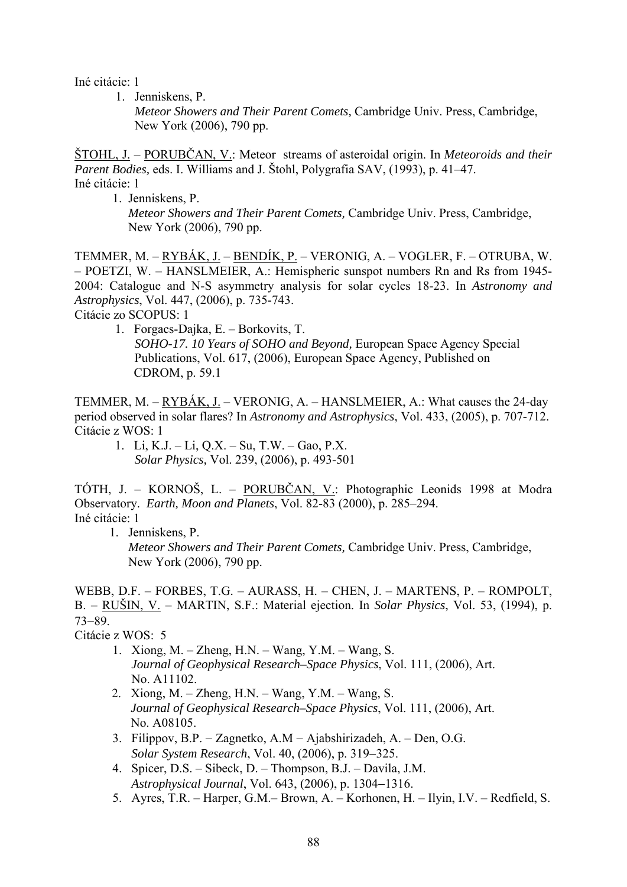Iné citácie: 1

1. Jenniskens, P.

 *Meteor Showers and Their Parent Comets,* Cambridge Univ. Press, Cambridge, New York (2006), 790 pp.

ŠTOHL, J. – PORUBČAN, V.: Meteor streams of asteroidal origin. In *Meteoroids and their Parent Bodies,* eds. I. Williams and J. Štohl, Polygrafia SAV, (1993), p. 41–47. Iné citácie: 1

1. Jenniskens, P. *Meteor Showers and Their Parent Comets,* Cambridge Univ. Press, Cambridge, New York (2006), 790 pp.

TEMMER, M. – RYBÁK, J. – BENDÍK, P. – VERONIG, A. – VOGLER, F. – OTRUBA, W. – POETZI, W. – HANSLMEIER, A.: Hemispheric sunspot numbers Rn and Rs from 1945- 2004: Catalogue and N-S asymmetry analysis for solar cycles 18-23. In *Astronomy and Astrophysics*, Vol. 447, (2006), p. 735-743.

Citácie zo SCOPUS: 1

 1. Forgacs-Dajka, E. – Borkovits, T. *SOHO-17. 10 Years of SOHO and Beyond,* European Space Agency Special Publications, Vol. 617, (2006), European Space Agency, Published on CDROM, p. 59.1

TEMMER, M. – RYBÁK, J. – VERONIG, A. – HANSLMEIER, A.: What causes the 24-day period observed in solar flares? In *Astronomy and Astrophysics*, Vol. 433, (2005), p. 707-712. Citácie z WOS: 1

 1. Li, K.J. – Li, Q.X. – Su, T.W. – Gao, P.X. *Solar Physics,* Vol. 239, (2006), p. 493-501

TÓTH, J. – KORNOŠ, L. – PORUBČAN, V.: Photographic Leonids 1998 at Modra Observatory. *Earth, Moon and Planets*, Vol. 82-83 (2000), p. 285–294. Iné citácie: 1

 1. Jenniskens, P. *Meteor Showers and Their Parent Comets,* Cambridge Univ. Press, Cambridge, New York (2006), 790 pp.

WEBB, D.F. – FORBES, T.G. – AURASS, H. – CHEN, J. – MARTENS, P. – ROMPOLT, B. – RUŠIN, V. – MARTIN, S.F.: Material ejection. In *Solar Physics*, Vol. 53, (1994), p. 73−89.

Citácie z WOS: 5

- 1. Xiong, M. Zheng, H.N. Wang, Y.M. Wang, S. *Journal of Geophysical Research–Space Physics*, Vol. 111, (2006), Art. No. A11102.
- 2. Xiong, M. Zheng, H.N. Wang, Y.M. Wang, S. *Journal of Geophysical Research–Space Physics*, Vol. 111, (2006), Art. No. A08105.
- 3. Filippov, B.P. − Zagnetko, A.M − Ajabshirizadeh, A. Den, O.G. *Solar System Research*, Vol. 40, (2006), p. 319−325.
- 4. Spicer, D.S. Sibeck, D. Thompson, B.J. Davila, J.M. *Astrophysical Journal*, Vol. 643, (2006), p. 1304−1316.
- 5. Ayres, T.R. Harper, G.M.– Brown, A. Korhonen, H. Ilyin, I.V. Redfield, S.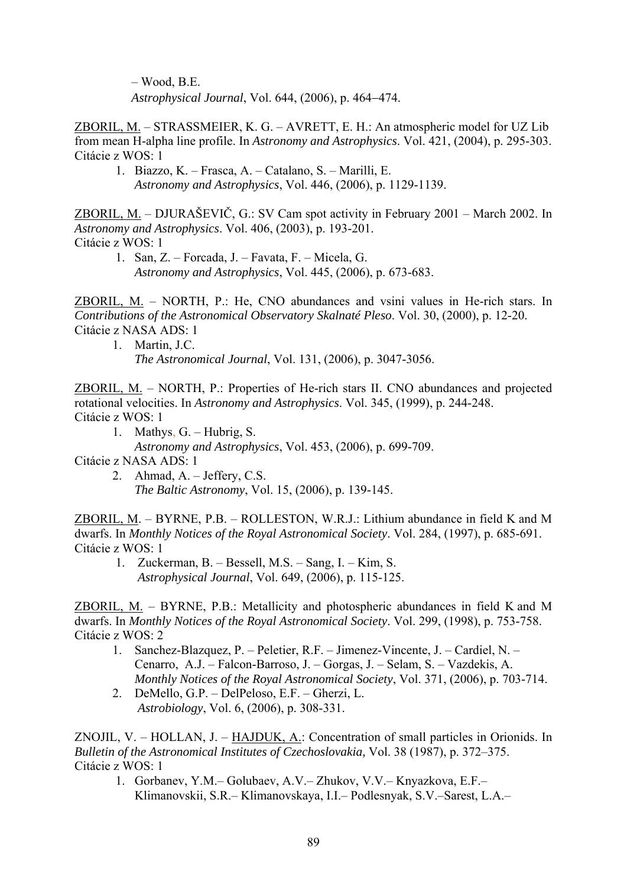– Wood, B.E. *Astrophysical Journal*, Vol. 644, (2006), p. 464−474.

ZBORIL, M. – STRASSMEIER, K. G. – AVRETT, E. H.: An atmospheric model for UZ Lib from mean H-alpha line profile. In *Astronomy and Astrophysics*. Vol. 421, (2004), p. 295-303. Citácie z WOS: 1

 1. Biazzo, K. – Frasca, A. – Catalano, S. – Marilli, E. *Astronomy and Astrophysics*, Vol. 446, (2006), p. 1129-1139.

ZBORIL, M. – DJURAŠEVIČ, G.: SV Cam spot activity in February 2001 – March 2002. In *Astronomy and Astrophysics*. Vol. 406, (2003), p. 193-201. Citácie z WOS: 1

 1. San, Z. – Forcada, J. – Favata, F. – Micela, G. *Astronomy and Astrophysics*, Vol. 445, (2006), p. 673-683.

ZBORIL, M. – NORTH, P.: He, CNO abundances and vsini values in He-rich stars. In *Contributions of the Astronomical Observatory Skalnaté Pleso*. Vol. 30, (2000), p. 12-20. Citácie z NASA ADS: 1

 1. Martin, J.C. *The Astronomical Journal*, Vol. 131, (2006), p. 3047-3056.

ZBORIL, M. – NORTH, P.: Properties of He-rich stars II. CNO abundances and projected rotational velocities. In *Astronomy and Astrophysics*. Vol. 345, (1999), p. 244-248. Citácie z WOS: 1

1. Mathys, G. – Hubrig, S.

*Astronomy and Astrophysics*, Vol. 453, (2006), p. 699-709.

Citácie z NASA ADS: 1

 2. Ahmad, A. – Jeffery, C.S. *The Baltic Astronomy*, Vol. 15, (2006), p. 139-145.

ZBORIL, M. – BYRNE, P.B. – ROLLESTON, W.R.J.: Lithium abundance in field K and M dwarfs. In *Monthly Notices of the Royal Astronomical Society*. Vol. 284, (1997), p. 685-691. Citácie z WOS: 1

 1. Zuckerman, B. – Bessell, M.S. – Sang, I. – Kim, S. *Astrophysical Journal*, Vol. 649, (2006), p. 115-125.

ZBORIL, M. – BYRNE, P.B.: Metallicity and photospheric abundances in field K and M dwarfs. In *Monthly Notices of the Royal Astronomical Society*. Vol. 299, (1998), p. 753-758. Citácie z WOS: 2

- 1. Sanchez-Blazquez, P. Peletier, R.F. Jimenez-Vincente, J. Cardiel, N. Cenarro, A.J. – Falcon-Barroso, J. – Gorgas, J. – Selam, S. – Vazdekis, A. *Monthly Notices of the Royal Astronomical Society*, Vol. 371, (2006), p. 703-714.
- 2. DeMello, G.P. DelPeloso, E.F. Gherzi, L. *Astrobiology*, Vol. 6, (2006), p. 308-331.

ZNOJIL, V. – HOLLAN, J. – HAJDUK, A.: Concentration of small particles in Orionids. In *Bulletin of the Astronomical Institutes of Czechoslovakia,* Vol. 38 (1987), p. 372–375. Citácie z WOS: 1

 1. Gorbanev, Y.M.– Golubaev, A.V.– Zhukov, V.V.– Knyazkova, E.F.– Klimanovskii, S.R.– Klimanovskaya, I.I.– Podlesnyak, S.V.–Sarest, L.A.–